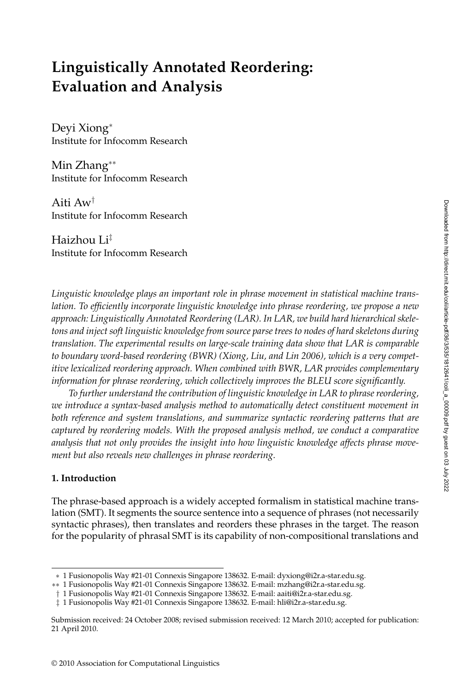# **Linguistically Annotated Reordering: Evaluation and Analysis**

Deyi Xiong<sup>∗</sup> Institute for Infocomm Research

Min Zhang∗∗ Institute for Infocomm Research

Aiti  $A w^{\dagger}$ Institute for Infocomm Research

Haizhou Li‡ Institute for Infocomm Research

*Linguistic knowledge plays an important role in phrase movement in statistical machine translation. To efficiently incorporate linguistic knowledge into phrase reordering, we propose a new approach: Linguistically Annotated Reordering (LAR). In LAR, we build hard hierarchical skeletons and inject soft linguistic knowledge from source parse trees to nodes of hard skeletons during translation. The experimental results on large-scale training data show that LAR is comparable to boundary word-based reordering (BWR) (Xiong, Liu, and Lin 2006), which is a very competitive lexicalized reordering approach. When combined with BWR, LAR provides complementary information for phrase reordering, which collectively improves the BLEU score significantly.*

*To further understand the contribution of linguistic knowledge in LAR to phrase reordering, we introduce a syntax-based analysis method to automatically detect constituent movement in both reference and system translations, and summarize syntactic reordering patterns that are captured by reordering models. With the proposed analysis method, we conduct a comparative analysis that not only provides the insight into how linguistic knowledge affects phrase movement but also reveals new challenges in phrase reordering.*

### **1. Introduction**

The phrase-based approach is a widely accepted formalism in statistical machine translation (SMT). It segments the source sentence into a sequence of phrases (not necessarily syntactic phrases), then translates and reorders these phrases in the target. The reason for the popularity of phrasal SMT is its capability of non-compositional translations and

<sup>∗</sup> 1 Fusionopolis Way #21-01 Connexis Singapore 138632. E-mail: dyxiong@i2r.a-star.edu.sg.

<sup>∗∗</sup> 1 Fusionopolis Way #21-01 Connexis Singapore 138632. E-mail: mzhang@i2r.a-star.edu.sg.

<sup>†</sup> 1 Fusionopolis Way #21-01 Connexis Singapore 138632. E-mail: aaiti@i2r.a-star.edu.sg.

<sup>‡</sup> 1 Fusionopolis Way #21-01 Connexis Singapore 138632. E-mail: hli@i2r.a-star.edu.sg.

Submission received: 24 October 2008; revised submission received: 12 March 2010; accepted for publication: 21 April 2010.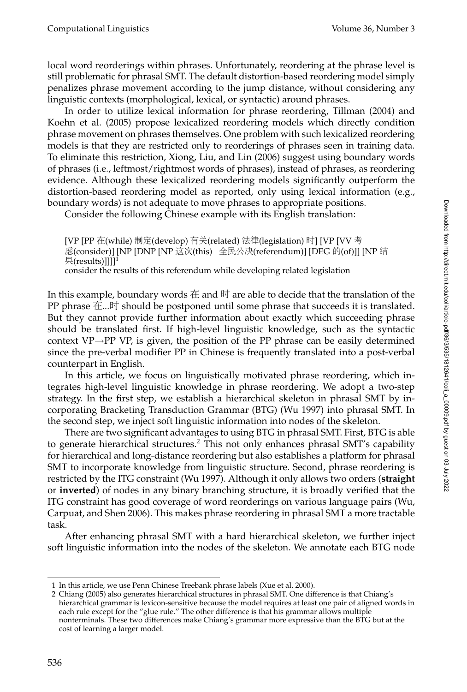local word reorderings within phrases. Unfortunately, reordering at the phrase level is still problematic for phrasal SMT. The default distortion-based reordering model simply penalizes phrase movement according to the jump distance, without considering any linguistic contexts (morphological, lexical, or syntactic) around phrases.

In order to utilize lexical information for phrase reordering, Tillman (2004) and Koehn et al. (2005) propose lexicalized reordering models which directly condition phrase movement on phrases themselves. One problem with such lexicalized reordering models is that they are restricted only to reorderings of phrases seen in training data. To eliminate this restriction, Xiong, Liu, and Lin (2006) suggest using boundary words of phrases (i.e., leftmost/rightmost words of phrases), instead of phrases, as reordering evidence. Although these lexicalized reordering models significantly outperform the distortion-based reordering model as reported, only using lexical information (e.g., boundary words) is not adequate to move phrases to appropriate positions.

Consider the following Chinese example with its English translation:

[VP [PP 在(while) 制定(develop) 有关(related) 法律(legislation) 时] [VP [VV 考 虑(consider)] [NP [DNP [NP 这次(this) 全民公决(referendum)] [DEG 的(of)]] [NP 结  $\mathbb{R}$ (results)]]]<sup>1</sup> consider the results of this referendum while developing related legislation

In this example, boundary words  $\bar{\text{\texttt{m}}}$  and  $\mathbb H$  are able to decide that the translation of the PP phrase 在…时 should be postponed until some phrase that succeeds it is translated. But they cannot provide further information about exactly which succeeding phrase should be translated first. If high-level linguistic knowledge, such as the syntactic context VP→PP VP, is given, the position of the PP phrase can be easily determined since the pre-verbal modifier PP in Chinese is frequently translated into a post-verbal counterpart in English.

In this article, we focus on linguistically motivated phrase reordering, which integrates high-level linguistic knowledge in phrase reordering. We adopt a two-step strategy. In the first step, we establish a hierarchical skeleton in phrasal SMT by incorporating Bracketing Transduction Grammar (BTG) (Wu 1997) into phrasal SMT. In the second step, we inject soft linguistic information into nodes of the skeleton.

There are two significant advantages to using BTG in phrasal SMT. First, BTG is able to generate hierarchical structures.<sup>2</sup> This not only enhances phrasal SMT's capability for hierarchical and long-distance reordering but also establishes a platform for phrasal SMT to incorporate knowledge from linguistic structure. Second, phrase reordering is restricted by the ITG constraint (Wu 1997). Although it only allows two orders (**straight** or **inverted**) of nodes in any binary branching structure, it is broadly verified that the ITG constraint has good coverage of word reorderings on various language pairs (Wu, Carpuat, and Shen 2006). This makes phrase reordering in phrasal SMT a more tractable task.

After enhancing phrasal SMT with a hard hierarchical skeleton, we further inject soft linguistic information into the nodes of the skeleton. We annotate each BTG node

<sup>1</sup> In this article, we use Penn Chinese Treebank phrase labels (Xue et al. 2000).

<sup>2</sup> Chiang (2005) also generates hierarchical structures in phrasal SMT. One difference is that Chiang's hierarchical grammar is lexicon-sensitive because the model requires at least one pair of aligned words in each rule except for the "glue rule." The other difference is that his grammar allows multiple nonterminals. These two differences make Chiang's grammar more expressive than the BTG but at the cost of learning a larger model.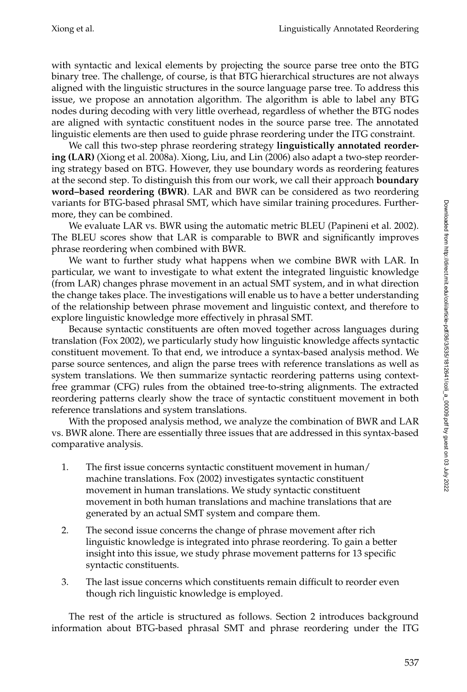with syntactic and lexical elements by projecting the source parse tree onto the BTG binary tree. The challenge, of course, is that BTG hierarchical structures are not always aligned with the linguistic structures in the source language parse tree. To address this issue, we propose an annotation algorithm. The algorithm is able to label any BTG nodes during decoding with very little overhead, regardless of whether the BTG nodes are aligned with syntactic constituent nodes in the source parse tree. The annotated linguistic elements are then used to guide phrase reordering under the ITG constraint.

We call this two-step phrase reordering strategy **linguistically annotated reordering (LAR)** (Xiong et al. 2008a). Xiong, Liu, and Lin (2006) also adapt a two-step reordering strategy based on BTG. However, they use boundary words as reordering features at the second step. To distinguish this from our work, we call their approach **boundary word–based reordering (BWR)**. LAR and BWR can be considered as two reordering variants for BTG-based phrasal SMT, which have similar training procedures. Furthermore, they can be combined.

We evaluate LAR vs. BWR using the automatic metric BLEU (Papineni et al. 2002). The BLEU scores show that LAR is comparable to BWR and significantly improves phrase reordering when combined with BWR.

We want to further study what happens when we combine BWR with LAR. In particular, we want to investigate to what extent the integrated linguistic knowledge (from LAR) changes phrase movement in an actual SMT system, and in what direction the change takes place. The investigations will enable us to have a better understanding of the relationship between phrase movement and linguistic context, and therefore to explore linguistic knowledge more effectively in phrasal SMT.

Because syntactic constituents are often moved together across languages during translation (Fox 2002), we particularly study how linguistic knowledge affects syntactic constituent movement. To that end, we introduce a syntax-based analysis method. We parse source sentences, and align the parse trees with reference translations as well as system translations. We then summarize syntactic reordering patterns using contextfree grammar (CFG) rules from the obtained tree-to-string alignments. The extracted reordering patterns clearly show the trace of syntactic constituent movement in both reference translations and system translations.

With the proposed analysis method, we analyze the combination of BWR and LAR vs. BWR alone. There are essentially three issues that are addressed in this syntax-based comparative analysis.

- 1. The first issue concerns syntactic constituent movement in human/ machine translations. Fox (2002) investigates syntactic constituent movement in human translations. We study syntactic constituent movement in both human translations and machine translations that are generated by an actual SMT system and compare them.
- 2. The second issue concerns the change of phrase movement after rich linguistic knowledge is integrated into phrase reordering. To gain a better insight into this issue, we study phrase movement patterns for 13 specific syntactic constituents.
- 3. The last issue concerns which constituents remain difficult to reorder even though rich linguistic knowledge is employed.

The rest of the article is structured as follows. Section 2 introduces background information about BTG-based phrasal SMT and phrase reordering under the ITG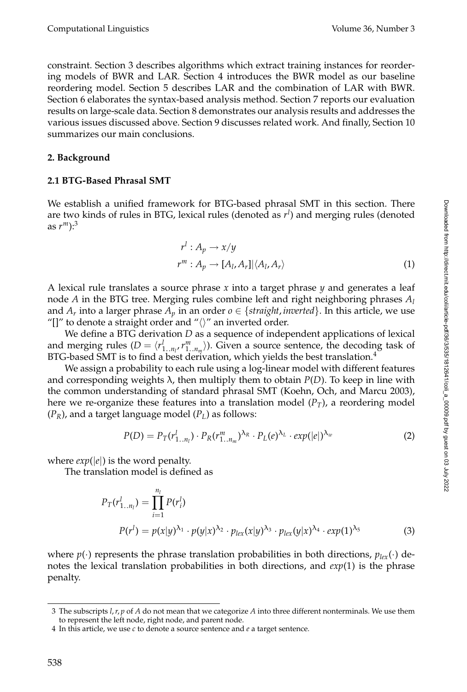constraint. Section 3 describes algorithms which extract training instances for reordering models of BWR and LAR. Section 4 introduces the BWR model as our baseline reordering model. Section 5 describes LAR and the combination of LAR with BWR. Section 6 elaborates the syntax-based analysis method. Section 7 reports our evaluation results on large-scale data. Section 8 demonstrates our analysis results and addresses the various issues discussed above. Section 9 discusses related work. And finally, Section 10 summarizes our main conclusions.

### **2. Background**

# **2.1 BTG-Based Phrasal SMT**

We establish a unified framework for BTG-based phrasal SMT in this section. There are two kinds of rules in BTG, lexical rules (denoted as *r<sup>l</sup>* ) and merging rules (denoted as  $r^m$ ):<sup>3</sup>

$$
r^{l}: A_{p} \to x/y
$$
  
\n
$$
r^{m}: A_{p} \to [A_{l}, A_{r}](A_{l}, A_{r})
$$
\n
$$
(1)
$$

A lexical rule translates a source phrase *x* into a target phrase *y* and generates a leaf node *A* in the BTG tree. Merging rules combine left and right neighboring phrases *Al* and  $A_r$  into a larger phrase  $A_p$  in an order  $o \in \{straight, inverted\}$ . In this article, we use "[]" to denote a straight order and " $\langle \rangle$ " an inverted order.

We define a BTG derivation *D* as a sequence of independent applications of lexical and merging rules  $(D = \langle r^l_{1..n_l}, r^m_{1..n_m} \rangle)$ . Given a source sentence, the decoding task of BTG-based SMT is to find a best derivation, which yields the best translation.<sup>4</sup>

We assign a probability to each rule using a log-linear model with different features and corresponding weights  $\lambda$ , then multiply them to obtain  $P(D)$ . To keep in line with the common understanding of standard phrasal SMT (Koehn, Och, and Marcu 2003), here we re-organize these features into a translation model  $(P_T)$ , a reordering model  $(P_R)$ , and a target language model  $(P_L)$  as follows:

$$
P(D) = P_T(r_{1..n_l}^l) \cdot P_R(r_{1..n_m}^m)^{\lambda_R} \cdot P_L(e)^{\lambda_L} \cdot exp(|e|)^{\lambda_w}
$$
 (2)

where  $exp(|e|)$  is the word penalty.

The translation model is defined as

$$
P_T(r_{1..n_l}^l) = \prod_{i=1}^{n_l} P(r_i^l)
$$
  
\n
$$
P(r^l) = p(x|y)^{\lambda_1} \cdot p(y|x)^{\lambda_2} \cdot p_{lex}(x|y)^{\lambda_3} \cdot p_{lex}(y|x)^{\lambda_4} \cdot exp(1)^{\lambda_5}
$$
\n(3)

where  $p(\cdot)$  represents the phrase translation probabilities in both directions,  $p_{lex}(\cdot)$  denotes the lexical translation probabilities in both directions, and *exp*(1) is the phrase penalty.

<sup>3</sup> The subscripts *l*,*r*, *p* of *A* do not mean that we categorize *A* into three different nonterminals. We use them to represent the left node, right node, and parent node.

<sup>4</sup> In this article, we use *c* to denote a source sentence and *e* a target sentence.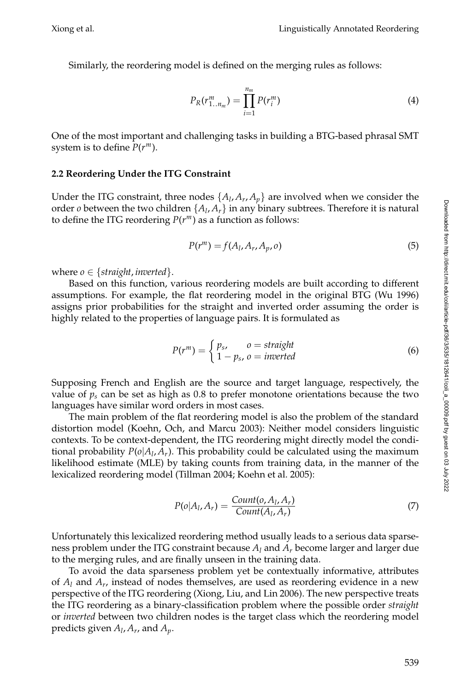Similarly, the reordering model is defined on the merging rules as follows:

$$
P_R(r_{1..n_m}^m) = \prod_{i=1}^{n_m} P(r_i^m)
$$
\n(4)

One of the most important and challenging tasks in building a BTG-based phrasal SMT system is to define  $P(r^m)$ .

### **2.2 Reordering Under the ITG Constraint**

Under the ITG constraint, three nodes  $\{A_l, A_r, A_p\}$  are involved when we consider the order *o* between the two children {*Al*, *Ar*} in any binary subtrees. Therefore it is natural to define the ITG reordering  $P(r^m)$  as a function as follows:

$$
P(rm) = f(Al, Ar, Ap, o)
$$
\n(5)

where  $o \in \{straight, inverted\}$ .

Based on this function, various reordering models are built according to different assumptions. For example, the flat reordering model in the original BTG (Wu 1996) assigns prior probabilities for the straight and inverted order assuming the order is highly related to the properties of language pairs. It is formulated as

$$
P(rm) = \begin{cases} ps, & o = straight \\ 1 - ps, o = inverted \end{cases}
$$
 (6)

Supposing French and English are the source and target language, respectively, the value of  $p_s$  can be set as high as 0.8 to prefer monotone orientations because the two languages have similar word orders in most cases.

The main problem of the flat reordering model is also the problem of the standard distortion model (Koehn, Och, and Marcu 2003): Neither model considers linguistic contexts. To be context-dependent, the ITG reordering might directly model the conditional probability  $P(o|A_i, A_r)$ . This probability could be calculated using the maximum likelihood estimate (MLE) by taking counts from training data, in the manner of the lexicalized reordering model (Tillman 2004; Koehn et al. 2005):

$$
P(o|A1, Ar) = \frac{Count(o, A1, Ar)}{Count(A1, Ar)} \tag{7}
$$

Unfortunately this lexicalized reordering method usually leads to a serious data sparseness problem under the ITG constraint because  $A_l$  and  $A_r$  become larger and larger due to the merging rules, and are finally unseen in the training data.

To avoid the data sparseness problem yet be contextually informative, attributes of *Al* and *Ar*, instead of nodes themselves, are used as reordering evidence in a new perspective of the ITG reordering (Xiong, Liu, and Lin 2006). The new perspective treats the ITG reordering as a binary-classification problem where the possible order *straight* or *inverted* between two children nodes is the target class which the reordering model predicts given *Al*, *Ar*, and *Ap*.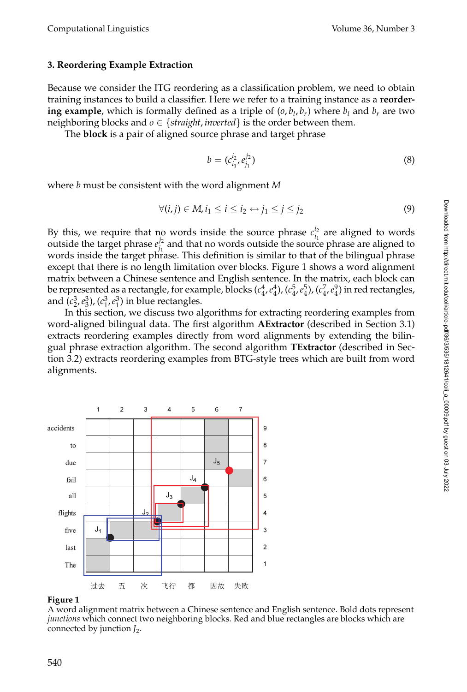#### **3. Reordering Example Extraction**

Because we consider the ITG reordering as a classification problem, we need to obtain training instances to build a classifier. Here we refer to a training instance as a **reordering example**, which is formally defined as a triple of  $(o, b_l, b_r)$  where  $b_l$  and  $b_r$  are two neighboring blocks and  $o \in \{straight, inverted\}$  is the order between them.

The **block** is a pair of aligned source phrase and target phrase

$$
b = (c_{i_1}^{i_2}, e_{j_1}^{j_2})
$$
\n(8)

where *b* must be consistent with the word alignment *M*

$$
\forall (i,j) \in M, i_1 \leq i \leq i_2 \leftrightarrow j_1 \leq j \leq j_2 \tag{9}
$$

By this, we require that no words inside the source phrase  $c_{i_1}^{i_2}$  are aligned to words outside the target phrase  $e_{j_1}^{j_2}$  and that no words outside the source phrase are aligned to words inside the target phrase. This definition is similar to that of the bilingual phrase except that there is no length limitation over blocks. Figure 1 shows a word alignment matrix between a Chinese sentence and English sentence. In the matrix, each block can be represented as a rectangle, for example, blocks  $(c_4^4, e_4^4)$ ,  $(c_4^5, e_4^5)$ ,  $(c_4^7, e_4^9)$  in red rectangles, and  $(c_2^3, e_3^3)$ ,  $(c_1^3, e_1^3)$  in blue rectangles.

In this section, we discuss two algorithms for extracting reordering examples from word-aligned bilingual data. The first algorithm **AExtractor** (described in Section 3.1) extracts reordering examples directly from word alignments by extending the bilingual phrase extraction algorithm. The second algorithm **TExtractor** (described in Section 3.2) extracts reordering examples from BTG-style trees which are built from word alignments.



### **Figure 1**

A word alignment matrix between a Chinese sentence and English sentence. Bold dots represent *junctions* which connect two neighboring blocks. Red and blue rectangles are blocks which are connected by junction *J*<sub>2</sub>.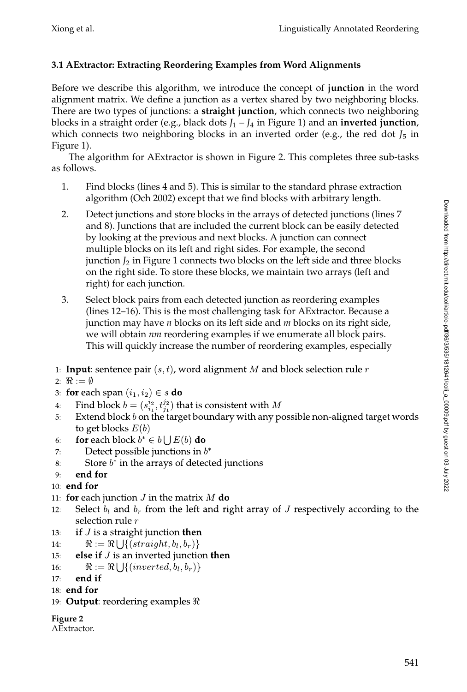# **3.1 AExtractor: Extracting Reordering Examples from Word Alignments**

Before we describe this algorithm, we introduce the concept of **junction** in the word alignment matrix. We define a junction as a vertex shared by two neighboring blocks. There are two types of junctions: a **straight junction**, which connects two neighboring blocks in a straight order (e.g., black dots  $J_1 - J_4$  in Figure 1) and an **inverted junction**, which connects two neighboring blocks in an inverted order (e.g., the red dot  $J_5$  in Figure 1).

The algorithm for AExtractor is shown in Figure 2. This completes three sub-tasks as follows.

- 1. Find blocks (lines 4 and 5). This is similar to the standard phrase extraction algorithm (Och 2002) except that we find blocks with arbitrary length.
- 2. Detect junctions and store blocks in the arrays of detected junctions (lines 7 and 8). Junctions that are included the current block can be easily detected by looking at the previous and next blocks. A junction can connect multiple blocks on its left and right sides. For example, the second junction  $J_2$  in Figure 1 connects two blocks on the left side and three blocks on the right side. To store these blocks, we maintain two arrays (left and right) for each junction.
- 3. Select block pairs from each detected junction as reordering examples (lines 12–16). This is the most challenging task for AExtractor. Because a junction may have *n* blocks on its left side and *m* blocks on its right side, we will obtain *nm* reordering examples if we enumerate all block pairs. This will quickly increase the number of reordering examples, especially
- 1: **Input:** sentence pair  $(s, t)$ , word alignment M and block selection rule r
- 2:  $\Re := \emptyset$
- 3: **for** each span  $(i_1, i_2) \in s$  **do**
- Find block  $b = (s_{i_1}^{i_2}, t_{j_1}^{j_2})$  that is consistent with M  $4.$
- Extend block  $b$  on the target boundary with any possible non-aligned target words 5. to get blocks  $E(b)$
- **for** each block  $b^* \in b \cup E(b)$  **do** 6:
- 7: Detect possible junctions in  $b^*$
- Store  $b^*$  in the arrays of detected junctions 8:
- 9: end for
- 10: end for
- 11: for each junction  $J$  in the matrix  $M$  do
- Select  $b_l$  and  $b_r$  from the left and right array of J respectively according to the  $12:$ selection rule  $r$
- $13:$ if  $J$  is a straight junction then
- $\Re := \Re \bigcup \{ (straight, b_l, b_r) \}$  $14:$
- else if  $J$  is an inverted junction then  $15:$
- $\Re := \Re \bigcup \{ (inverted, b_l, b_r) \}$  $16:$
- end if  $17:$
- 18: end for
- 19: **Output:** reordering examples  $\Re$

**Figure 2**

```
AExtractor.
```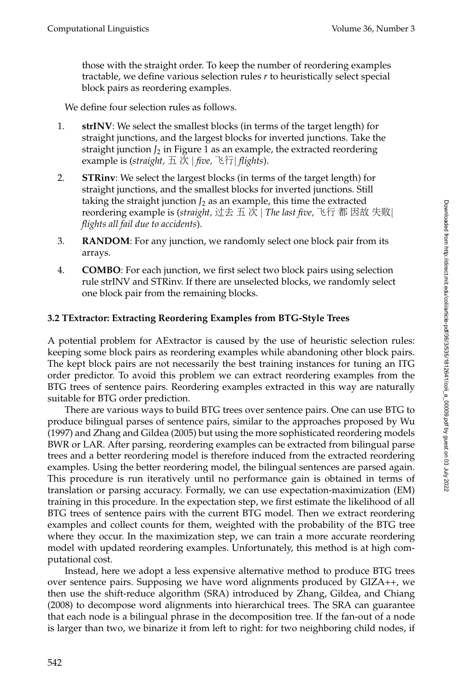those with the straight order. To keep the number of reordering examples tractable, we define various selection rules *r* to heuristically select special block pairs as reordering examples.

We define four selection rules as follows.

- 1. **strINV**: We select the smallest blocks (in terms of the target length) for straight junctions, and the largest blocks for inverted junctions. Take the straight junction  $J_2$  in Figure 1 as an example, the extracted reordering example is (*straight,* 五次 | *five,* 飞行| *flights*).
- 2. **STRinv**: We select the largest blocks (in terms of the target length) for straight junctions, and the smallest blocks for inverted junctions. Still taking the straight junction  *as an example, this time the extracted* reordering example is (*straight,* 过去 五 次 | *The last five,* 飞行 都 因故 失败| *flights all fail due to accidents*).
- 3. **RANDOM**: For any junction, we randomly select one block pair from its arrays.
- 4. **COMBO**: For each junction, we first select two block pairs using selection rule strINV and STRinv. If there are unselected blocks, we randomly select one block pair from the remaining blocks.

#### **3.2 TExtractor: Extracting Reordering Examples from BTG-Style Trees**

A potential problem for AExtractor is caused by the use of heuristic selection rules: keeping some block pairs as reordering examples while abandoning other block pairs. The kept block pairs are not necessarily the best training instances for tuning an ITG order predictor. To avoid this problem we can extract reordering examples from the BTG trees of sentence pairs. Reordering examples extracted in this way are naturally suitable for BTG order prediction.

There are various ways to build BTG trees over sentence pairs. One can use BTG to produce bilingual parses of sentence pairs, similar to the approaches proposed by Wu (1997) and Zhang and Gildea (2005) but using the more sophisticated reordering models BWR or LAR. After parsing, reordering examples can be extracted from bilingual parse trees and a better reordering model is therefore induced from the extracted reordering examples. Using the better reordering model, the bilingual sentences are parsed again. This procedure is run iteratively until no performance gain is obtained in terms of translation or parsing accuracy. Formally, we can use expectation-maximization (EM) training in this procedure. In the expectation step, we first estimate the likelihood of all BTG trees of sentence pairs with the current BTG model. Then we extract reordering examples and collect counts for them, weighted with the probability of the BTG tree where they occur. In the maximization step, we can train a more accurate reordering model with updated reordering examples. Unfortunately, this method is at high computational cost.

Instead, here we adopt a less expensive alternative method to produce BTG trees over sentence pairs. Supposing we have word alignments produced by GIZA++, we then use the shift-reduce algorithm (SRA) introduced by Zhang, Gildea, and Chiang (2008) to decompose word alignments into hierarchical trees. The SRA can guarantee that each node is a bilingual phrase in the decomposition tree. If the fan-out of a node is larger than two, we binarize it from left to right: for two neighboring child nodes, if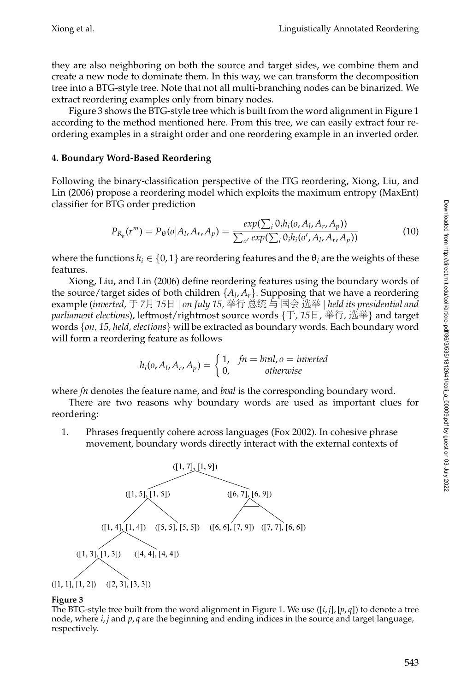they are also neighboring on both the source and target sides, we combine them and create a new node to dominate them. In this way, we can transform the decomposition tree into a BTG-style tree. Note that not all multi-branching nodes can be binarized. We extract reordering examples only from binary nodes.

Figure 3 shows the BTG-style tree which is built from the word alignment in Figure 1 according to the method mentioned here. From this tree, we can easily extract four reordering examples in a straight order and one reordering example in an inverted order.

### **4. Boundary Word-Based Reordering**

Following the binary-classification perspective of the ITG reordering, Xiong, Liu, and Lin (2006) propose a reordering model which exploits the maximum entropy (MaxEnt) classifier for BTG order prediction

$$
P_{R_b}(r^m) = P_{\theta}(o|A_l, A_r, A_p) = \frac{exp(\sum_i \theta_i h_i(o, A_l, A_r, A_p))}{\sum_{o'} exp(\sum_i \theta_i h_i(o', A_l, A_r, A_p))}
$$
(10)

where the functions  $h_i \in \{0,1\}$  are reordering features and the  $\theta_i$  are the weights of these features.

Xiong, Liu, and Lin (2006) define reordering features using the boundary words of the source/target sides of both children  $\{A_l, A_r\}$ . Supposing that we have a reordering example (inverted, 于 7月 15日 | on July 15, 举行 总统 与 国会 选举 | held its presidential and *parliament elections*), leftmost/rightmost source words {*, 15,* -*,* } and target words {*on, 15, held, elections*} will be extracted as boundary words. Each boundary word will form a reordering feature as follows

$$
h_i(o, A_l, A_r, A_p) = \begin{cases} 1, & \text{if } n = \text{bval}, o = \text{inverted} \\ 0, & \text{otherwise} \end{cases}
$$

where *fn* denotes the feature name, and *bval* is the corresponding boundary word.

There are two reasons why boundary words are used as important clues for reordering:

1. Phrases frequently cohere across languages (Fox 2002). In cohesive phrase movement, boundary words directly interact with the external contexts of



### **Figure 3**

The BTG-style tree built from the word alignment in Figure 1. We use ([*i*, *j*], [*p*, *q*]) to denote a tree node, where *i*, *j* and *p*, *q* are the beginning and ending indices in the source and target language, respectively.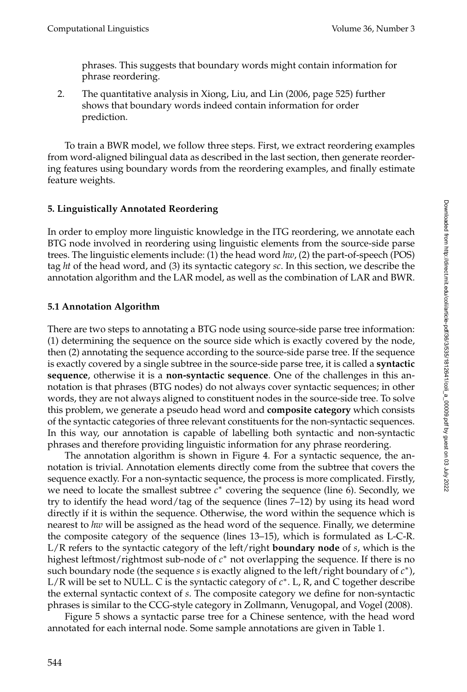phrases. This suggests that boundary words might contain information for phrase reordering.

2. The quantitative analysis in Xiong, Liu, and Lin (2006, page 525) further shows that boundary words indeed contain information for order prediction.

To train a BWR model, we follow three steps. First, we extract reordering examples from word-aligned bilingual data as described in the last section, then generate reordering features using boundary words from the reordering examples, and finally estimate feature weights.

# **5. Linguistically Annotated Reordering**

In order to employ more linguistic knowledge in the ITG reordering, we annotate each BTG node involved in reordering using linguistic elements from the source-side parse trees. The linguistic elements include: (1) the head word *hw*, (2) the part-of-speech (POS) tag *ht* of the head word, and (3) its syntactic category *sc*. In this section, we describe the annotation algorithm and the LAR model, as well as the combination of LAR and BWR.

# **5.1 Annotation Algorithm**

There are two steps to annotating a BTG node using source-side parse tree information: (1) determining the sequence on the source side which is exactly covered by the node, then (2) annotating the sequence according to the source-side parse tree. If the sequence is exactly covered by a single subtree in the source-side parse tree, it is called a **syntactic sequence**, otherwise it is a **non-syntactic sequence**. One of the challenges in this annotation is that phrases (BTG nodes) do not always cover syntactic sequences; in other words, they are not always aligned to constituent nodes in the source-side tree. To solve this problem, we generate a pseudo head word and **composite category** which consists of the syntactic categories of three relevant constituents for the non-syntactic sequences. In this way, our annotation is capable of labelling both syntactic and non-syntactic phrases and therefore providing linguistic information for any phrase reordering.

The annotation algorithm is shown in Figure 4. For a syntactic sequence, the annotation is trivial. Annotation elements directly come from the subtree that covers the sequence exactly. For a non-syntactic sequence, the process is more complicated. Firstly, we need to locate the smallest subtree *c*∗ covering the sequence (line 6). Secondly, we try to identify the head word/tag of the sequence (lines 7–12) by using its head word directly if it is within the sequence. Otherwise, the word within the sequence which is nearest to *hw* will be assigned as the head word of the sequence. Finally, we determine the composite category of the sequence (lines 13–15), which is formulated as L-C-R. L/R refers to the syntactic category of the left/right **boundary node** of *s*, which is the highest leftmost/rightmost sub-node of *c*∗ not overlapping the sequence. If there is no such boundary node (the sequence *s* is exactly aligned to the left/right boundary of *c*∗), L/R will be set to NULL. C is the syntactic category of *c*∗. L, R, and C together describe the external syntactic context of *s*. The composite category we define for non-syntactic phrases is similar to the CCG-style category in Zollmann, Venugopal, and Vogel (2008).

Figure 5 shows a syntactic parse tree for a Chinese sentence, with the head word annotated for each internal node. Some sample annotations are given in Table 1.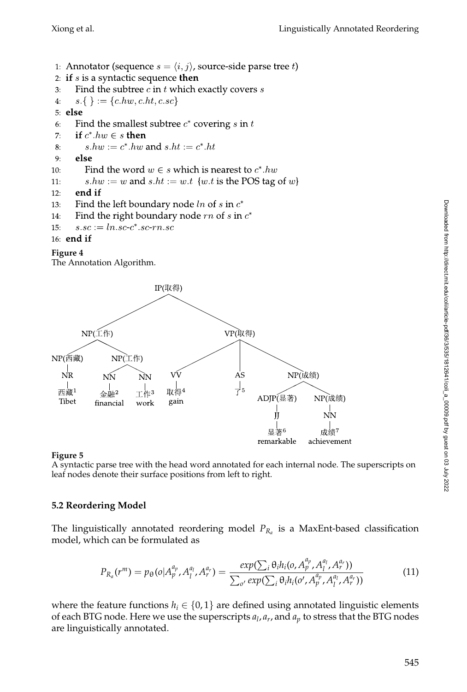- 1: Annotator (sequence  $s = \langle i, j \rangle$ , source-side parse tree t)
- 2: if  $s$  is a syntactic sequence then
- Find the subtree  $c$  in  $t$  which exactly covers  $s$  $3:$

```
s.\{\} := \{c.hw, c.ht, c.sc\}4:
```
 $5:$  else

Find the smallest subtree  $c^*$  covering  $s$  in  $t$ 6:

- if  $c^*$ . $hw \in s$  then  $7:$
- $s.hw := c^* \cdot hw$  and  $s.ht := c^* \cdot ht$ 8:

else 9:

Find the word  $w \in s$  which is nearest to  $c^*$ .*hw*  $10:$ 

- $s.hw := w$  and  $s.ht := w.t$  {w.t is the POS tag of w}  $11:$
- end if  $12:$

```
Find the left boundary node ln of s in c^*13:
```
- Find the right boundary node  $rn$  of  $s$  in  $c^*$ 14:
- $s.sc := ln.sc-c^*.sc\text{-}rn.sc$  $15:$

# $16:$  end if

### **Figure 4**

The Annotation Algorithm.



### **Figure 5**

A syntactic parse tree with the head word annotated for each internal node. The superscripts on leaf nodes denote their surface positions from left to right.

# **5.2 Reordering Model**

The linguistically annotated reordering model  $P_{R_a}$  is a MaxEnt-based classification model, which can be formulated as

$$
P_{R_a}(r^m) = p_{\theta}(o|A_p^{a_p}, A_l^{a_l}, A_r^{a_r}) = \frac{exp(\sum_i \theta_i h_i(o, A_p^{a_p}, A_l^{a_l}, A_r^{a_r}))}{\sum_{o'} exp(\sum_i \theta_i h_i(o', A_p^{a_p}, A_l^{a_l}, A_r^{a_r}))}
$$
(11)

where the feature functions  $h_i \in \{0,1\}$  are defined using annotated linguistic elements of each BTG node. Here we use the superscripts *al*, *ar*, and *ap* to stress that the BTG nodes are linguistically annotated.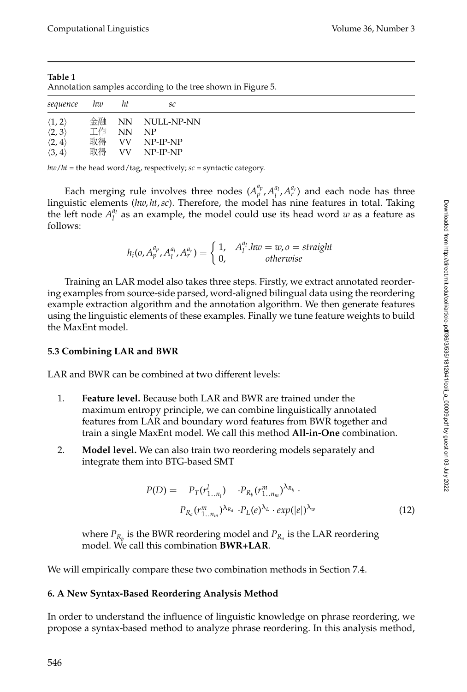|                        |    |     |                | Annotation samples according to the tree shown in Figure 5. |
|------------------------|----|-----|----------------|-------------------------------------------------------------|
| sequence               | hw | ht  | sc             |                                                             |
| $\langle 1, 2 \rangle$ | 金融 |     | NN NULL-NP-NN  |                                                             |
| $\langle 2, 3 \rangle$ | 工作 | NN. | NP             |                                                             |
| $\langle 2, 4 \rangle$ | 取得 |     | VV NP-IP-NP    |                                                             |
| $\langle 3, 4 \rangle$ |    |     | 取得 VV NP-IP-NP |                                                             |

*hw*/*ht* = the head word/tag, respectively; *sc* = syntactic category.

Each merging rule involves three nodes  $(A_p^{a_p}, A_l^{a_l}, A_r^{a_r})$  and each node has three linguistic elements (*hw*, *ht*,*sc*). Therefore, the model has nine features in total. Taking the left node  $A_l^{a_l}$  as an example, the model could use its head word *w* as a feature as follows:

$$
h_i(o, A_p^{a_p}, A_l^{a_l}, A_r^{a_r}) = \begin{cases} 1, & A_l^{a_l}.hw = w, o = straight \\ 0, & otherwise \end{cases}
$$

Training an LAR model also takes three steps. Firstly, we extract annotated reordering examples from source-side parsed, word-aligned bilingual data using the reordering example extraction algorithm and the annotation algorithm. We then generate features using the linguistic elements of these examples. Finally we tune feature weights to build the MaxEnt model.

### **5.3 Combining LAR and BWR**

LAR and BWR can be combined at two different levels:

- 1. **Feature level.** Because both LAR and BWR are trained under the maximum entropy principle, we can combine linguistically annotated features from LAR and boundary word features from BWR together and train a single MaxEnt model. We call this method **All-in-One** combination.
- 2. **Model level.** We can also train two reordering models separately and integrate them into BTG-based SMT

$$
P(D) = P_T(r_{1..n_l}^l) \cdot P_{R_b}(r_{1..n_m}^m)^{\lambda_{R_b}} \cdot P_{R_a}(r_{1..n_m}^m)^{\lambda_{R_a}} \cdot P_L(e)^{\lambda_L} \cdot exp(|e|)^{\lambda_w}
$$
\n
$$
(12)
$$

where  $P_{R_h}$  is the BWR reordering model and  $P_{R_a}$  is the LAR reordering model. We call this combination **BWR+LAR**.

We will empirically compare these two combination methods in Section 7.4.

# **6. A New Syntax-Based Reordering Analysis Method**

In order to understand the influence of linguistic knowledge on phrase reordering, we propose a syntax-based method to analyze phrase reordering. In this analysis method,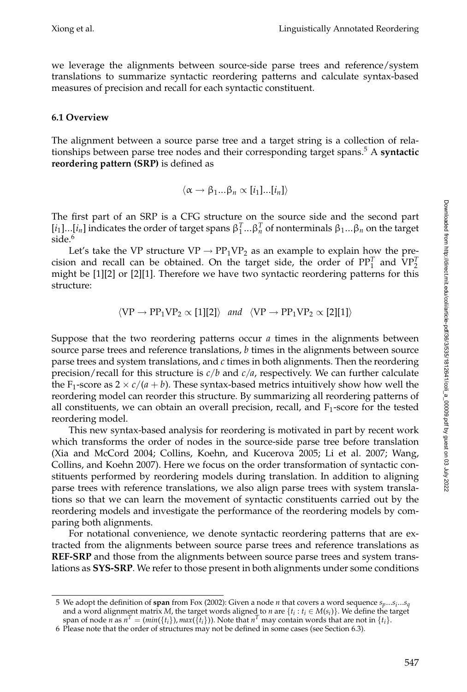we leverage the alignments between source-side parse trees and reference/system translations to summarize syntactic reordering patterns and calculate syntax-based measures of precision and recall for each syntactic constituent.

### **6.1 Overview**

The alignment between a source parse tree and a target string is a collection of relationships between parse tree nodes and their corresponding target spans.<sup>5</sup> A **syntactic reordering pattern (SRP)** is defined as

$$
\langle \alpha \rightarrow \beta_1 ... \beta_n \propto [i_1] ... [i_n] \rangle
$$

The first part of an SRP is a CFG structure on the source side and the second part [*i*1]...[*in*] indicates the order of target spans β*<sup>T</sup>* <sup>1</sup> ...β*<sup>T</sup> <sup>n</sup>* of nonterminals β1...β*<sup>n</sup>* on the target side.<sup>6</sup>

Let's take the VP structure  $VP \rightarrow PP_1VP_2$  as an example to explain how the precision and recall can be obtained. On the target side, the order of  $PP_1^T$  and  $VP_2^T$ might be [1][2] or [2][1]. Therefore we have two syntactic reordering patterns for this structure:

 $\langle VP \rightarrow PP_1VP_2 \propto [1][2] \rangle$  and  $\langle VP \rightarrow PP_1VP_2 \propto [2][1] \rangle$ 

Suppose that the two reordering patterns occur *a* times in the alignments between source parse trees and reference translations, *b* times in the alignments between source parse trees and system translations, and *c* times in both alignments. Then the reordering precision/recall for this structure is *c*/*b* and *c*/*a*, respectively. We can further calculate the F<sub>1</sub>-score as  $2 \times c/(a + b)$ . These syntax-based metrics intuitively show how well the reordering model can reorder this structure. By summarizing all reordering patterns of all constituents, we can obtain an overall precision, recall, and  $F_1$ -score for the tested reordering model.

This new syntax-based analysis for reordering is motivated in part by recent work which transforms the order of nodes in the source-side parse tree before translation (Xia and McCord 2004; Collins, Koehn, and Kucerova 2005; Li et al. 2007; Wang, Collins, and Koehn 2007). Here we focus on the order transformation of syntactic constituents performed by reordering models during translation. In addition to aligning parse trees with reference translations, we also align parse trees with system translations so that we can learn the movement of syntactic constituents carried out by the reordering models and investigate the performance of the reordering models by comparing both alignments.

For notational convenience, we denote syntactic reordering patterns that are extracted from the alignments between source parse trees and reference translations as **REF-SRP** and those from the alignments between source parse trees and system translations as **SYS-SRP**. We refer to those present in both alignments under some conditions

<sup>5</sup> We adopt the definition of **span** from Fox (2002): Given a node *n* that covers a word sequence *sp*...*si*...*sq* and a word alignment matrix *M*, the target words aligned to *n* are { $t_i : t_i \in M(s_i)$ }. We define the target span of node *n* as  $n^T = (min({t_i}), max({t_i})).$  Note that  $n^T$  may contain words that are not in  $\{t_i\}$ .

<sup>6</sup> Please note that the order of structures may not be defined in some cases (see Section 6.3).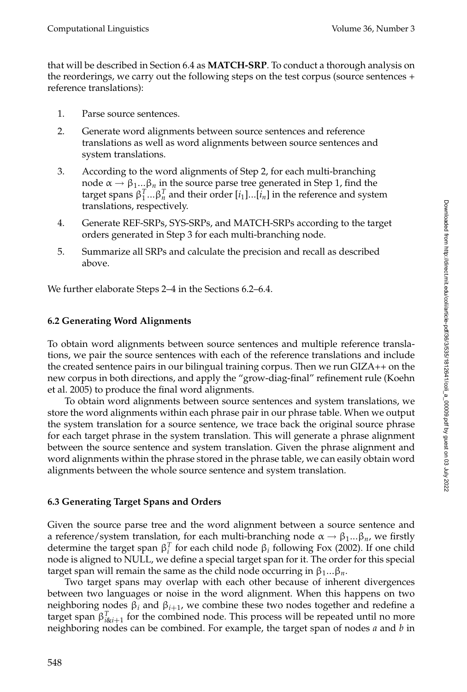that will be described in Section 6.4 as **MATCH-SRP**. To conduct a thorough analysis on the reorderings, we carry out the following steps on the test corpus (source sentences + reference translations):

- 1. Parse source sentences.
- 2. Generate word alignments between source sentences and reference translations as well as word alignments between source sentences and system translations.
- 3. According to the word alignments of Step 2, for each multi-branching node  $\alpha \rightarrow \beta_1...\beta_n$  in the source parse tree generated in Step 1, find the target spans  $β_1^T...β_n^T$  and their order  $[i_1]...[i_n]$  in the reference and system translations, respectively.
- 4. Generate REF-SRPs, SYS-SRPs, and MATCH-SRPs according to the target orders generated in Step 3 for each multi-branching node.
- 5. Summarize all SRPs and calculate the precision and recall as described above.

We further elaborate Steps 2–4 in the Sections 6.2–6.4.

# **6.2 Generating Word Alignments**

To obtain word alignments between source sentences and multiple reference translations, we pair the source sentences with each of the reference translations and include the created sentence pairs in our bilingual training corpus. Then we run GIZA++ on the new corpus in both directions, and apply the "grow-diag-final" refinement rule (Koehn et al. 2005) to produce the final word alignments.

To obtain word alignments between source sentences and system translations, we store the word alignments within each phrase pair in our phrase table. When we output the system translation for a source sentence, we trace back the original source phrase for each target phrase in the system translation. This will generate a phrase alignment between the source sentence and system translation. Given the phrase alignment and word alignments within the phrase stored in the phrase table, we can easily obtain word alignments between the whole source sentence and system translation.

# **6.3 Generating Target Spans and Orders**

Given the source parse tree and the word alignment between a source sentence and a reference/system translation, for each multi-branching node  $\alpha \rightarrow \beta_1...\beta_n$ , we firstly determine the target span  $\beta_i^T$  for each child node  $\beta_i$  following Fox (2002). If one child node is aligned to NULL, we define a special target span for it. The order for this special target span will remain the same as the child node occurring in  $\beta_1...\beta_n$ .

Two target spans may overlap with each other because of inherent divergences between two languages or noise in the word alignment. When this happens on two neighboring nodes  $β<sub>i</sub>$  and  $β<sub>i+1</sub>$ , we combine these two nodes together and redefine a target span  $\beta_{i\&i+1}^T$  for the combined node. This process will be repeated until no more neighboring nodes can be combined. For example, the target span of nodes *a* and *b* in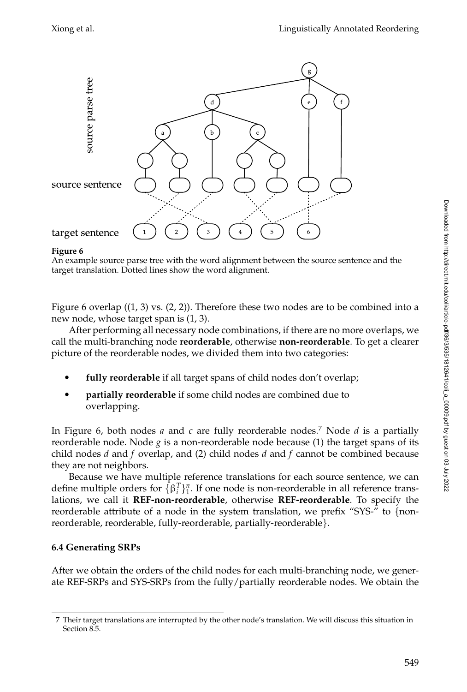

#### **Figure 6**

An example source parse tree with the word alignment between the source sentence and the target translation. Dotted lines show the word alignment.

Figure 6 overlap  $((1, 3)$  vs.  $(2, 2))$ . Therefore these two nodes are to be combined into a new node, whose target span is (1, 3).

After performing all necessary node combinations, if there are no more overlaps, we call the multi-branching node **reorderable**, otherwise **non-reorderable**. To get a clearer picture of the reorderable nodes, we divided them into two categories:

- **fully reorderable** if all target spans of child nodes don't overlap;
- **partially reorderable** if some child nodes are combined due to overlapping.

In Figure 6, both nodes *a* and *c* are fully reorderable nodes.<sup>7</sup> Node *d* is a partially reorderable node. Node  $g$  is a non-reorderable node because (1) the target spans of its child nodes *d* and *f* overlap, and (2) child nodes *d* and *f* cannot be combined because they are not neighbors.

Because we have multiple reference translations for each source sentence, we can define multiple orders for  $\{\beta_i^T\}_{1}^n$ . If one node is non-reorderable in all reference translations, we call it **REF-non-reorderable**, otherwise **REF-reorderable**. To specify the reorderable attribute of a node in the system translation, we prefix "SYS-" to {nonreorderable, reorderable, fully-reorderable, partially-reorderable}.

# **6.4 Generating SRPs**

After we obtain the orders of the child nodes for each multi-branching node, we generate REF-SRPs and SYS-SRPs from the fully/partially reorderable nodes. We obtain the

<sup>7</sup> Their target translations are interrupted by the other node's translation. We will discuss this situation in Section 8.5.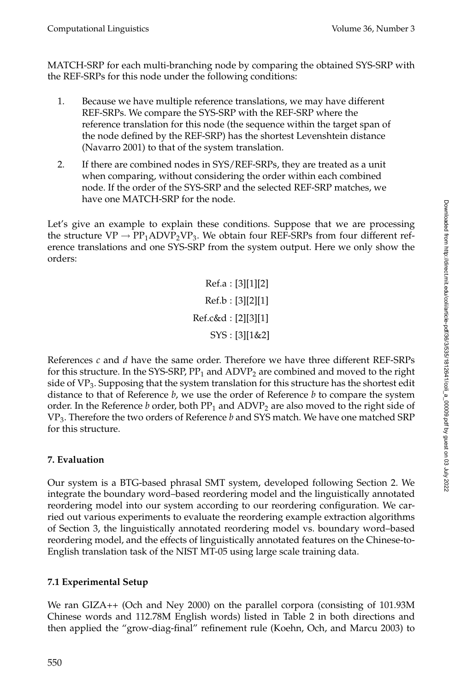MATCH-SRP for each multi-branching node by comparing the obtained SYS-SRP with the REF-SRPs for this node under the following conditions:

- 1. Because we have multiple reference translations, we may have different REF-SRPs. We compare the SYS-SRP with the REF-SRP where the reference translation for this node (the sequence within the target span of the node defined by the REF-SRP) has the shortest Levenshtein distance (Navarro 2001) to that of the system translation.
- 2. If there are combined nodes in SYS/REF-SRPs, they are treated as a unit when comparing, without considering the order within each combined node. If the order of the SYS-SRP and the selected REF-SRP matches, we have one MATCH-SRP for the node.

Let's give an example to explain these conditions. Suppose that we are processing the structure  $VP \rightarrow PP_1ADVP_2VP_3$ . We obtain four REF-SRPs from four different reference translations and one SYS-SRP from the system output. Here we only show the orders:

> Ref.a : [3][1][2] Ref.b : [3][2][1] Ref.c&d : [2][3][1] SYS : [3][1&2]

References *c* and *d* have the same order. Therefore we have three different REF-SRPs for this structure. In the SYS-SRP,  $PP_1$  and  $ADVP_2$  are combined and moved to the right side of  $VP<sub>3</sub>$ . Supposing that the system translation for this structure has the shortest edit distance to that of Reference *b*, we use the order of Reference *b* to compare the system order. In the Reference *b* order, both  $PP_1$  and  $ADVP_2$  are also moved to the right side of VP3. Therefore the two orders of Reference *b* and SYS match. We have one matched SRP for this structure.

# **7. Evaluation**

Our system is a BTG-based phrasal SMT system, developed following Section 2. We integrate the boundary word–based reordering model and the linguistically annotated reordering model into our system according to our reordering configuration. We carried out various experiments to evaluate the reordering example extraction algorithms of Section 3, the linguistically annotated reordering model vs. boundary word–based reordering model, and the effects of linguistically annotated features on the Chinese-to-English translation task of the NIST MT-05 using large scale training data.

# **7.1 Experimental Setup**

We ran GIZA++ (Och and Ney 2000) on the parallel corpora (consisting of 101.93M Chinese words and 112.78M English words) listed in Table 2 in both directions and then applied the "grow-diag-final" refinement rule (Koehn, Och, and Marcu 2003) to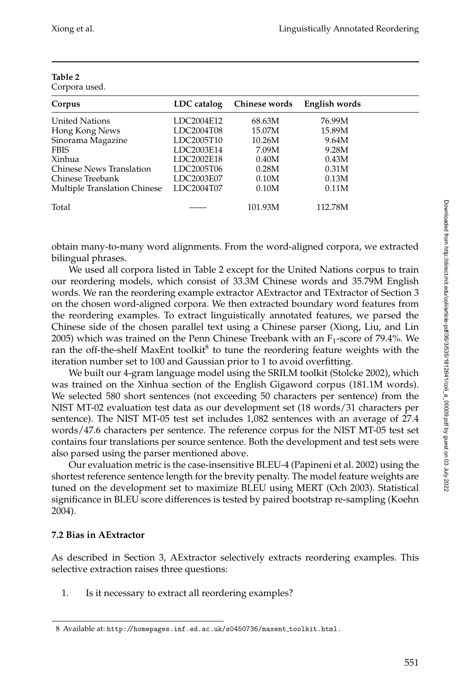| Corpus                       | LDC catalog | Chinese words | English words |  |
|------------------------------|-------------|---------------|---------------|--|
| <b>United Nations</b>        | LDC2004E12  | 68.63M        | 76.99M        |  |
| Hong Kong News               | LDC2004T08  | 15.07M        | 15.89M        |  |
| Sinorama Magazine            | LDC2005T10  | 10.26M        | 9.64M         |  |
| <b>FBIS</b>                  | LDC2003E14  | 7.09M         | 9.28M         |  |
| Xinhua                       | LDC2002E18  | 0.40M         | 0.43M         |  |
| Chinese News Translation     | LDC2005T06  | 0.28M         | 0.31M         |  |
| Chinese Treebank             | LDC2003E07  | 0.10M         | 0.13M         |  |
| Multiple Translation Chinese | LDC2004T07  | 0.10M         | 0.11M         |  |
| Total                        |             | 101.93M       | 112.78M       |  |

Corpora used.

obtain many-to-many word alignments. From the word-aligned corpora, we extracted bilingual phrases.

We used all corpora listed in Table 2 except for the United Nations corpus to train our reordering models, which consist of 33.3M Chinese words and 35.79M English words. We ran the reordering example extractor AExtractor and TExtractor of Section 3 on the chosen word-aligned corpora. We then extracted boundary word features from the reordering examples. To extract linguistically annotated features, we parsed the Chinese side of the chosen parallel text using a Chinese parser (Xiong, Liu, and Lin 2005) which was trained on the Penn Chinese Treebank with an  $F_1$ -score of 79.4%. We ran the off-the-shelf MaxEnt toolkit<sup>8</sup> to tune the reordering feature weights with the iteration number set to 100 and Gaussian prior to 1 to avoid overfitting.

We built our 4-gram language model using the SRILM toolkit (Stolcke 2002), which was trained on the Xinhua section of the English Gigaword corpus (181.1M words). We selected 580 short sentences (not exceeding 50 characters per sentence) from the NIST MT-02 evaluation test data as our development set (18 words/31 characters per sentence). The NIST MT-05 test set includes 1,082 sentences with an average of 27.4 words/47.6 characters per sentence. The reference corpus for the NIST MT-05 test set contains four translations per source sentence. Both the development and test sets were also parsed using the parser mentioned above.

Our evaluation metric is the case-insensitive BLEU-4 (Papineni et al. 2002) using the shortest reference sentence length for the brevity penalty. The model feature weights are tuned on the development set to maximize BLEU using MERT (Och 2003). Statistical significance in BLEU score differences is tested by paired bootstrap re-sampling (Koehn 2004).

# **7.2 Bias in AExtractor**

As described in Section 3, AExtractor selectively extracts reordering examples. This selective extraction raises three questions:

1. Is it necessary to extract all reordering examples?

<sup>8</sup> Available at: http://homepages.inf.ed.ac.uk/s0450736/maxent toolkit.html.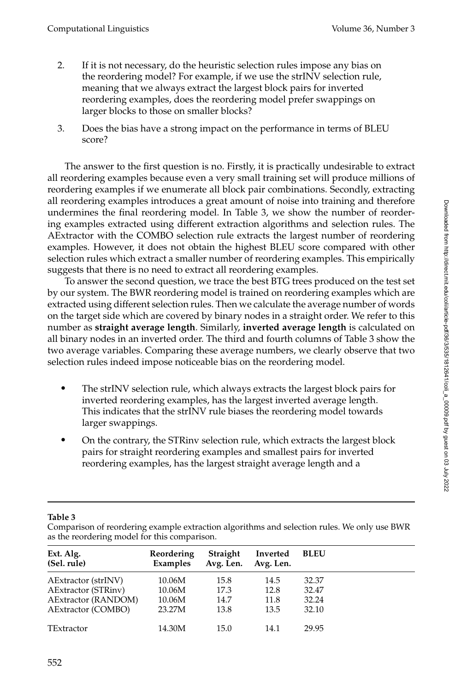- 2. If it is not necessary, do the heuristic selection rules impose any bias on the reordering model? For example, if we use the strINV selection rule, meaning that we always extract the largest block pairs for inverted reordering examples, does the reordering model prefer swappings on larger blocks to those on smaller blocks?
- 3. Does the bias have a strong impact on the performance in terms of BLEU score?

The answer to the first question is no. Firstly, it is practically undesirable to extract all reordering examples because even a very small training set will produce millions of reordering examples if we enumerate all block pair combinations. Secondly, extracting all reordering examples introduces a great amount of noise into training and therefore undermines the final reordering model. In Table 3, we show the number of reordering examples extracted using different extraction algorithms and selection rules. The AExtractor with the COMBO selection rule extracts the largest number of reordering examples. However, it does not obtain the highest BLEU score compared with other selection rules which extract a smaller number of reordering examples. This empirically suggests that there is no need to extract all reordering examples.

To answer the second question, we trace the best BTG trees produced on the test set by our system. The BWR reordering model is trained on reordering examples which are extracted using different selection rules. Then we calculate the average number of words on the target side which are covered by binary nodes in a straight order. We refer to this number as **straight average length**. Similarly, **inverted average length** is calculated on all binary nodes in an inverted order. The third and fourth columns of Table 3 show the two average variables. Comparing these average numbers, we clearly observe that two selection rules indeed impose noticeable bias on the reordering model.

- - The strINV selection rule, which always extracts the largest block pairs for inverted reordering examples, has the largest inverted average length. This indicates that the strINV rule biases the reordering model towards larger swappings.
- - On the contrary, the STRinv selection rule, which extracts the largest block pairs for straight reordering examples and smallest pairs for inverted reordering examples, has the largest straight average length and a

**Table 3**

Comparison of reordering example extraction algorithms and selection rules. We only use BWR as the reordering model for this comparison.

| Ext. Alg.<br>(Sel. rule)                                          | Reordering<br>Examples     | Straight<br>Avg. Len. | Inverted<br>Avg. Len. | <b>BLEU</b>             |  |
|-------------------------------------------------------------------|----------------------------|-----------------------|-----------------------|-------------------------|--|
| AExtractor (strINV)<br>AExtractor (STRinv)<br>AExtractor (RANDOM) | 10.06M<br>10.06M<br>10.06M | 15.8<br>17.3<br>14.7  | 14.5<br>12.8<br>11.8  | 32.37<br>32.47<br>32.24 |  |
| <b>AExtractor (COMBO)</b><br>TExtractor                           | 23.27M<br>14.30M           | 13.8<br>15.0          | 13.5<br>14.1          | 32.10<br>29.95          |  |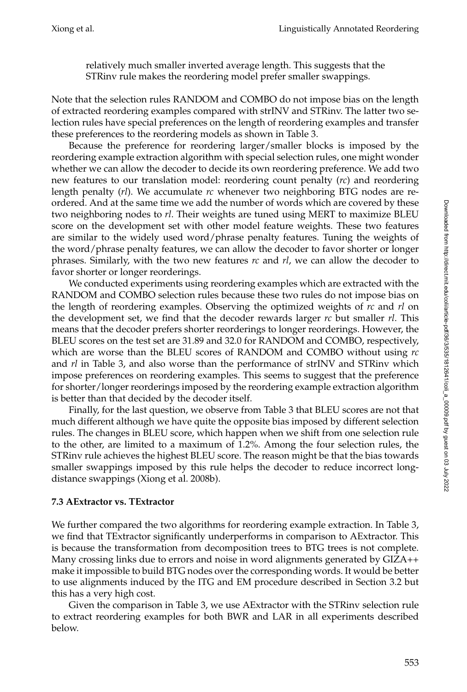relatively much smaller inverted average length. This suggests that the STRinv rule makes the reordering model prefer smaller swappings.

Note that the selection rules RANDOM and COMBO do not impose bias on the length of extracted reordering examples compared with strINV and STRinv. The latter two selection rules have special preferences on the length of reordering examples and transfer these preferences to the reordering models as shown in Table 3.

Because the preference for reordering larger/smaller blocks is imposed by the reordering example extraction algorithm with special selection rules, one might wonder whether we can allow the decoder to decide its own reordering preference. We add two new features to our translation model: reordering count penalty (*rc*) and reordering length penalty (*rl*). We accumulate *rc* whenever two neighboring BTG nodes are reordered. And at the same time we add the number of words which are covered by these two neighboring nodes to *rl*. Their weights are tuned using MERT to maximize BLEU score on the development set with other model feature weights. These two features are similar to the widely used word/phrase penalty features. Tuning the weights of the word/phrase penalty features, we can allow the decoder to favor shorter or longer phrases. Similarly, with the two new features *rc* and *rl*, we can allow the decoder to favor shorter or longer reorderings.

We conducted experiments using reordering examples which are extracted with the RANDOM and COMBO selection rules because these two rules do not impose bias on the length of reordering examples. Observing the optimized weights of *rc* and *rl* on the development set, we find that the decoder rewards larger *rc* but smaller *rl*. This means that the decoder prefers shorter reorderings to longer reorderings. However, the BLEU scores on the test set are 31.89 and 32.0 for RANDOM and COMBO, respectively, which are worse than the BLEU scores of RANDOM and COMBO without using *rc* and *rl* in Table 3, and also worse than the performance of strINV and STRinv which impose preferences on reordering examples. This seems to suggest that the preference for shorter/longer reorderings imposed by the reordering example extraction algorithm is better than that decided by the decoder itself.

Finally, for the last question, we observe from Table 3 that BLEU scores are not that much different although we have quite the opposite bias imposed by different selection rules. The changes in BLEU score, which happen when we shift from one selection rule to the other, are limited to a maximum of 1.2%. Among the four selection rules, the STRinv rule achieves the highest BLEU score. The reason might be that the bias towards smaller swappings imposed by this rule helps the decoder to reduce incorrect longdistance swappings (Xiong et al. 2008b).

# **7.3 AExtractor vs. TExtractor**

We further compared the two algorithms for reordering example extraction. In Table 3, we find that TExtractor significantly underperforms in comparison to AExtractor. This is because the transformation from decomposition trees to BTG trees is not complete. Many crossing links due to errors and noise in word alignments generated by GIZA++ make it impossible to build BTG nodes over the corresponding words. It would be better to use alignments induced by the ITG and EM procedure described in Section 3.2 but this has a very high cost.

Given the comparison in Table 3, we use AExtractor with the STRinv selection rule to extract reordering examples for both BWR and LAR in all experiments described below.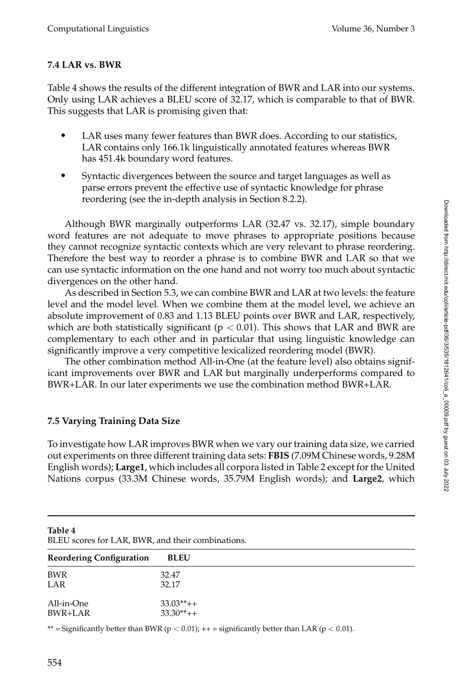# **7.4 LAR vs. BWR**

Table 4 shows the results of the different integration of BWR and LAR into our systems. Only using LAR achieves a BLEU score of 32.17, which is comparable to that of BWR. This suggests that LAR is promising given that:

- - LAR uses many fewer features than BWR does. According to our statistics, LAR contains only 166.1k linguistically annotated features whereas BWR has 451.4k boundary word features.
- - Syntactic divergences between the source and target languages as well as parse errors prevent the effective use of syntactic knowledge for phrase reordering (see the in-depth analysis in Section 8.2.2).

Although BWR marginally outperforms LAR (32.47 vs. 32.17), simple boundary word features are not adequate to move phrases to appropriate positions because they cannot recognize syntactic contexts which are very relevant to phrase reordering. Therefore the best way to reorder a phrase is to combine BWR and LAR so that we can use syntactic information on the one hand and not worry too much about syntactic divergences on the other hand.

As described in Section 5.3, we can combine BWR and LAR at two levels: the feature level and the model level. When we combine them at the model level, we achieve an absolute improvement of 0.83 and 1.13 BLEU points over BWR and LAR, respectively, which are both statistically significant ( $p < 0.01$ ). This shows that LAR and BWR are complementary to each other and in particular that using linguistic knowledge can significantly improve a very competitive lexicalized reordering model (BWR).

The other combination method All-in-One (at the feature level) also obtains significant improvements over BWR and LAR but marginally underperforms compared to BWR+LAR. In our later experiments we use the combination method BWR+LAR.

# **7.5 Varying Training Data Size**

To investigate how LAR improves BWR when we vary our training data size, we carried out experiments on three different training data sets: **FBIS** (7.09M Chinese words, 9.28M English words); **Large1**, which includes all corpora listed in Table 2 except for the United Nations corpus (33.3M Chinese words, 35.79M English words); and **Large2**, which

| Table 4<br>BLEU scores for LAR, BWR, and their combinations. |                                |  |
|--------------------------------------------------------------|--------------------------------|--|
| <b>Reordering Configuration</b>                              | <b>BLEU</b>                    |  |
| BWR<br>LAR                                                   | 32.47<br>32.17                 |  |
| All-in-One<br>BWR+LAR                                        | $33.03***++$<br>$33.30^{**}++$ |  |

\*\* = Significantly better than BWR ( $p < 0.01$ ); ++ = significantly better than LAR ( $p < 0.01$ ).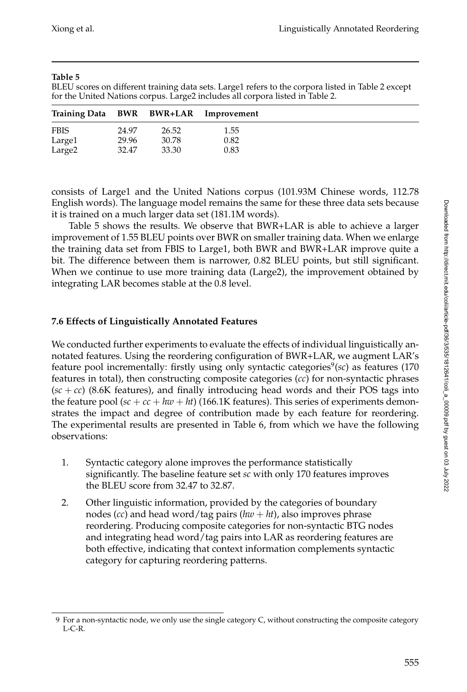BLEU scores on different training data sets. Large1 refers to the corpora listed in Table 2 except for the United Nations corpus. Large2 includes all corpora listed in Table 2.

|                       |                |                | Training Data BWR BWR+LAR Improvement |  |
|-----------------------|----------------|----------------|---------------------------------------|--|
| <b>FBIS</b><br>Large1 | 24.97<br>29.96 | 26.52<br>30.78 | 1.55<br>0.82                          |  |
| Large <sub>2</sub>    | 32.47          | 33.30          | 0.83                                  |  |

consists of Large1 and the United Nations corpus (101.93M Chinese words, 112.78 English words). The language model remains the same for these three data sets because it is trained on a much larger data set (181.1M words).

Table 5 shows the results. We observe that BWR+LAR is able to achieve a larger improvement of 1.55 BLEU points over BWR on smaller training data. When we enlarge the training data set from FBIS to Large1, both BWR and BWR+LAR improve quite a bit. The difference between them is narrower, 0.82 BLEU points, but still significant. When we continue to use more training data (Large2), the improvement obtained by integrating LAR becomes stable at the 0.8 level.

### **7.6 Effects of Linguistically Annotated Features**

We conducted further experiments to evaluate the effects of individual linguistically annotated features. Using the reordering configuration of BWR+LAR, we augment LAR's feature pool incrementally: firstly using only syntactic categories<sup>9</sup>( $\epsilon$ *c*) as features (170 features in total), then constructing composite categories (*cc*) for non-syntactic phrases  $(\epsilon c + c c)$  (8.6K features), and finally introducing head words and their POS tags into the feature pool ( $sc + cc + hw + ht$ ) (166.1K features). This series of experiments demonstrates the impact and degree of contribution made by each feature for reordering. The experimental results are presented in Table 6, from which we have the following observations:

- 1. Syntactic category alone improves the performance statistically significantly. The baseline feature set *sc* with only 170 features improves the BLEU score from 32.47 to 32.87.
- 2. Other linguistic information, provided by the categories of boundary nodes (*cc*) and head word/tag pairs (*hw* + *ht*), also improves phrase reordering. Producing composite categories for non-syntactic BTG nodes and integrating head word/tag pairs into LAR as reordering features are both effective, indicating that context information complements syntactic category for capturing reordering patterns.

<sup>9</sup> For a non-syntactic node, we only use the single category C, without constructing the composite category L-C-R.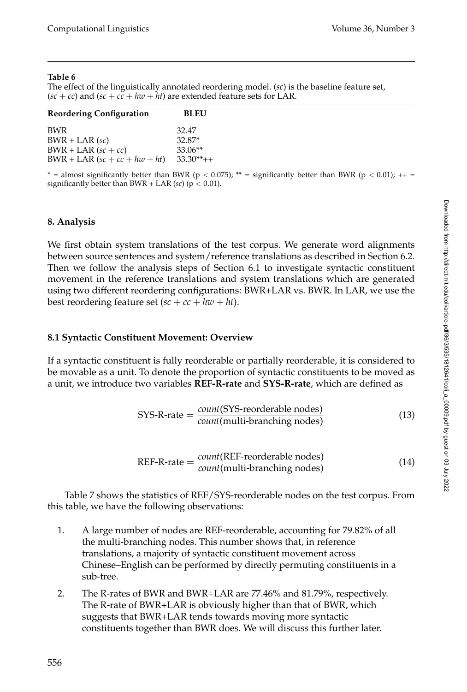The effect of the linguistically annotated reordering model. (*sc*) is the baseline feature set,  $(sc + cc)$  and  $(se + cc + hw + ht)$  are extended feature sets for LAR.

| <b>Reordering Configuration</b> | <b>BLEU</b>    |  |
|---------------------------------|----------------|--|
| <b>BWR</b>                      | 32.47          |  |
| $BWR + LAR$ (sc)                | 32.87*         |  |
| $BWR + LAR$ (sc + cc)           | $33.06**$      |  |
| $BWR + LAR$ (sc + cc + hw + ht) | $33.30^{**}++$ |  |

\* = almost significantly better than BWR (p < 0.075); \*\* = significantly better than BWR (p < 0.01); ++ = significantly better than BWR + LAR ( $\mathit{sc}$ ) ( $\it{p}$  < 0.01).

### **8. Analysis**

We first obtain system translations of the test corpus. We generate word alignments between source sentences and system/reference translations as described in Section 6.2. Then we follow the analysis steps of Section 6.1 to investigate syntactic constituent movement in the reference translations and system translations which are generated using two different reordering configurations: BWR+LAR vs. BWR. In LAR, we use the best reordering feature set  $(*x* + *cc* + *hw* + *ht*).$ 

### **8.1 Syntactic Constituent Movement: Overview**

If a syntactic constituent is fully reorderable or partially reorderable, it is considered to be movable as a unit. To denote the proportion of syntactic constituents to be moved as a unit, we introduce two variables **REF-R-rate** and **SYS-R-rate**, which are defined as

$$
SYS-R-rate = \frac{count(SYS-reorderable nodes)}{count(multi-branching nodes)}
$$
(13)

$$
REF-R-rate = \frac{count(REF-reorderable nodes)}{count(multi-branching nodes)}
$$
(14)

Table 7 shows the statistics of REF/SYS-reorderable nodes on the test corpus. From this table, we have the following observations:

- 1. A large number of nodes are REF-reorderable, accounting for 79.82% of all the multi-branching nodes. This number shows that, in reference translations, a majority of syntactic constituent movement across Chinese–English can be performed by directly permuting constituents in a sub-tree.
- 2. The R-rates of BWR and BWR+LAR are 77.46% and 81.79%, respectively. The R-rate of BWR+LAR is obviously higher than that of BWR, which suggests that BWR+LAR tends towards moving more syntactic constituents together than BWR does. We will discuss this further later.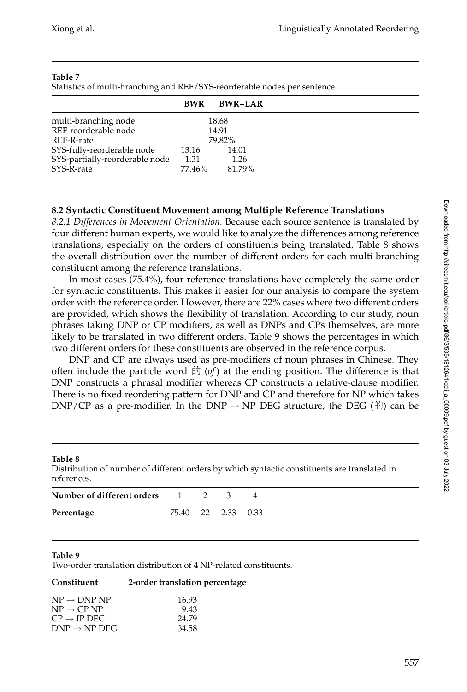|                                | <b>BWR</b> | <b>BWR+LAR</b> |  |
|--------------------------------|------------|----------------|--|
| multi-branching node           |            | 18.68          |  |
| REF-reorderable node           |            | 14.91          |  |
| REF-R-rate                     |            | 79.82%         |  |
| SYS-fully-reorderable node     | 13.16      | 14.01          |  |
| SYS-partially-reorderable node | 1.31       | 1.26           |  |
| SYS-R-rate                     | 77.46%     | 81.79%         |  |
|                                |            |                |  |

Statistics of multi-branching and REF/SYS-reorderable nodes per sentence.

### **8.2 Syntactic Constituent Movement among Multiple Reference Translations**

*8.2.1 Differences in Movement Orientation.* Because each source sentence is translated by four different human experts, we would like to analyze the differences among reference translations, especially on the orders of constituents being translated. Table 8 shows the overall distribution over the number of different orders for each multi-branching constituent among the reference translations.

In most cases (75.4%), four reference translations have completely the same order for syntactic constituents. This makes it easier for our analysis to compare the system order with the reference order. However, there are 22% cases where two different orders are provided, which shows the flexibility of translation. According to our study, noun phrases taking DNP or CP modifiers, as well as DNPs and CPs themselves, are more likely to be translated in two different orders. Table 9 shows the percentages in which two different orders for these constituents are observed in the reference corpus.

DNP and CP are always used as pre-modifiers of noun phrases in Chinese. They often include the particle word  $\hat{F}$  (*of*) at the ending position. The difference is that DNP constructs a phrasal modifier whereas CP constructs a relative-clause modifier. There is no fixed reordering pattern for DNP and CP and therefore for NP which takes DNP/CP as a pre-modifier. In the DNP  $\rightarrow$  NP DEG structure, the DEG ( $\sharp$ ) can be

**Table 8**

Distribution of number of different orders by which syntactic constituents are translated in references.

#### **Table 9**

Two-order translation distribution of 4 NP-related constituents.

| Constituent              | 2-order translation percentage |  |
|--------------------------|--------------------------------|--|
| $NP \rightarrow DNP NP$  | 16.93                          |  |
| $NP \rightarrow CP NP$   | 9.43                           |  |
| $CP \rightarrow IP$ DEC  | 24.79                          |  |
| $DNP \rightarrow NP DEC$ | 34.58                          |  |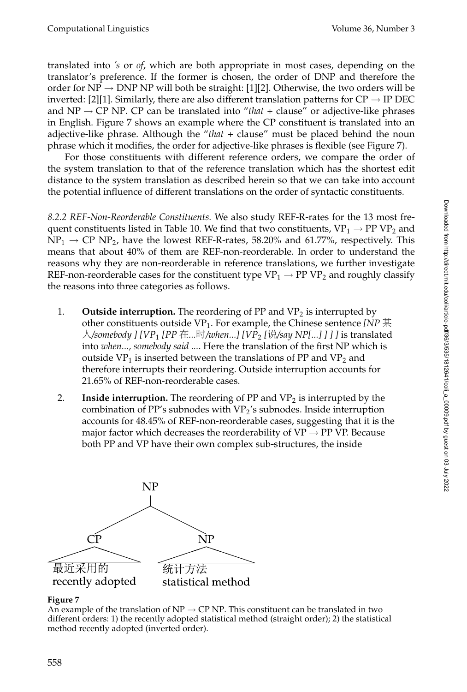translated into *'s* or *of*, which are both appropriate in most cases, depending on the translator's preference. If the former is chosen, the order of DNP and therefore the order for  $NP \rightarrow DNP$  NP will both be straight: [1][2]. Otherwise, the two orders will be inverted: [2][1]. Similarly, there are also different translation patterns for  $\text{CP} \rightarrow \text{IP DEC}$ and  $NP \rightarrow CP$  NP. CP can be translated into "*that* + clause" or adjective-like phrases in English. Figure 7 shows an example where the CP constituent is translated into an adjective-like phrase. Although the "*that* + clause" must be placed behind the noun phrase which it modifies, the order for adjective-like phrases is flexible (see Figure 7).

For those constituents with different reference orders, we compare the order of the system translation to that of the reference translation which has the shortest edit distance to the system translation as described herein so that we can take into account the potential influence of different translations on the order of syntactic constituents.

*8.2.2 REF-Non-Reorderable Constituents.* We also study REF-R-rates for the 13 most frequent constituents listed in Table 10. We find that two constituents,  $VP_1 \rightarrow PP VP_2$  and  $NP_1 \rightarrow CP \ NP_2$ , have the lowest REF-R-rates, 58.20% and 61.77%, respectively. This means that about 40% of them are REF-non-reorderable. In order to understand the reasons why they are non-reorderable in reference translations, we further investigate REF-non-reorderable cases for the constituent type  $VP_1 \rightarrow PP VP_2$  and roughly classify the reasons into three categories as follows.

- 1. **Outside interruption.** The reordering of PP and  $VP<sub>2</sub>$  is interrupted by other constituents outside  $VP_1$ . For example, the Chinese sentence *[NP* 某  $\bigwedge$ /somebody ] [VP<sub>1</sub> [PP 在...时/when...] [VP<sub>2</sub> [说/say NP[...] ] ] ] is translated into *when..., somebody said ...*. Here the translation of the first NP which is outside  $VP_1$  is inserted between the translations of PP and  $VP_2$  and therefore interrupts their reordering. Outside interruption accounts for 21.65% of REF-non-reorderable cases.
- 2. **Inside interruption.** The reordering of PP and VP<sub>2</sub> is interrupted by the combination of PP's subnodes with  $VP_2$ 's subnodes. Inside interruption accounts for 48.45% of REF-non-reorderable cases, suggesting that it is the major factor which decreases the reorderability of  $VP \rightarrow PP$  VP. Because both PP and VP have their own complex sub-structures, the inside



### **Figure 7**

An example of the translation of NP  $\rightarrow$  CP NP. This constituent can be translated in two different orders: 1) the recently adopted statistical method (straight order); 2) the statistical method recently adopted (inverted order).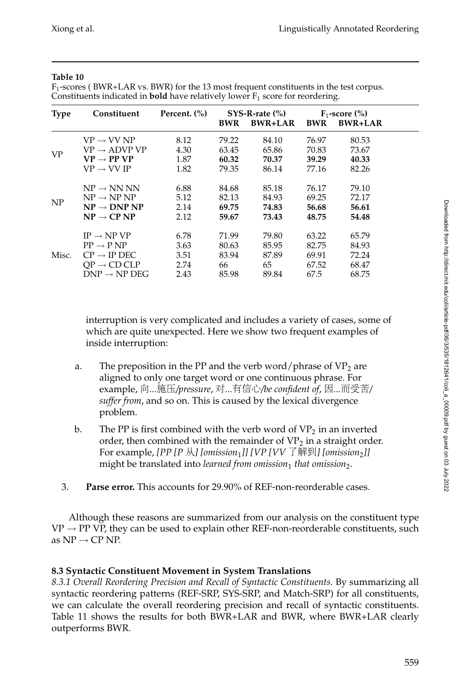$F_1$ -scores (BWR+LAR vs. BWR) for the 13 most frequent constituents in the test corpus. Constituents indicated in **bold** have relatively lower F<sub>1</sub> score for reordering.

| <b>Type</b> | Constituent                                                                                                                       | Percent. (%)                         | <b>BWR</b>                             | $SYS-R-rate$ $\%$<br><b>BWR+LAR</b>    | BWR                                      | $F_1$ -score $\left(\% \right)$<br><b>BWR+LAR</b> |  |
|-------------|-----------------------------------------------------------------------------------------------------------------------------------|--------------------------------------|----------------------------------------|----------------------------------------|------------------------------------------|---------------------------------------------------|--|
| <b>VP</b>   | $VP \rightarrow VV NP$<br>$VP \rightarrow ADVP VP$<br>$VP \rightarrow PP VP$<br>$VP \rightarrow VV$ IP                            | 8.12<br>4.30<br>1.87<br>1.82         | 79.22<br>63.45<br>60.32<br>79.35       | 84.10<br>65.86<br>70.37<br>86.14       | 76.97<br>70.83<br>39.29<br>77.16         | 80.53<br>73.67<br>40.33<br>82.26                  |  |
| NP          | $NP \rightarrow NN NN$<br>$NP \rightarrow NP NP$<br>$NP \rightarrow DNP NP$<br>$NP \rightarrow CP NP$                             | 6.88<br>5.12<br>2.14<br>2.12         | 84.68<br>82.13<br>69.75<br>59.67       | 85.18<br>84.93<br>74.83<br>73.43       | 76.17<br>69.25<br>56.68<br>48.75         | 79.10<br>72.17<br>56.61<br>54.48                  |  |
| Misc.       | $IP \rightarrow NP VP$<br>$PP \rightarrow P NP$<br>$CP \rightarrow IP$ DEC<br>$OP \rightarrow CD CLP$<br>$DNP \rightarrow NP DEG$ | 6.78<br>3.63<br>3.51<br>2.74<br>2.43 | 71.99<br>80.63<br>83.94<br>66<br>85.98 | 79.80<br>85.95<br>87.89<br>65<br>89.84 | 63.22<br>82.75<br>69.91<br>67.52<br>67.5 | 65.79<br>84.93<br>72.24<br>68.47<br>68.75         |  |

interruption is very complicated and includes a variety of cases, some of which are quite unexpected. Here we show two frequent examples of inside interruption:

- a. The preposition in the PP and the verb word/phrase of  $VP<sub>2</sub>$  are aligned to only one target word or one continuous phrase. For example, 向...施压/pressure, 对...有信心/be confident of, 因...而受苦/ *suffer from*, and so on. This is caused by the lexical divergence problem.
- b. The PP is first combined with the verb word of  $VP_2$  in an inverted order, then combined with the remainder of  $VP_2$  in a straight order. For example, *[PP [P 从] [omission*<sub>1</sub>*]] [VP [VV 了解到] [omission*<sub>2</sub>*]]* might be translated into *learned from omission*<sub>1</sub> *that omission*<sub>2</sub>.
- 3. **Parse error.** This accounts for 29.90% of REF-non-reorderable cases.

Although these reasons are summarized from our analysis on the constituent type  $VP \rightarrow PP VP$ , they can be used to explain other REF-non-reorderable constituents, such as  $NP \rightarrow CP NP$ .

# **8.3 Syntactic Constituent Movement in System Translations**

*8.3.1 Overall Reordering Precision and Recall of Syntactic Constituents.* By summarizing all syntactic reordering patterns (REF-SRP, SYS-SRP, and Match-SRP) for all constituents, we can calculate the overall reordering precision and recall of syntactic constituents. Table 11 shows the results for both BWR+LAR and BWR, where BWR+LAR clearly outperforms BWR.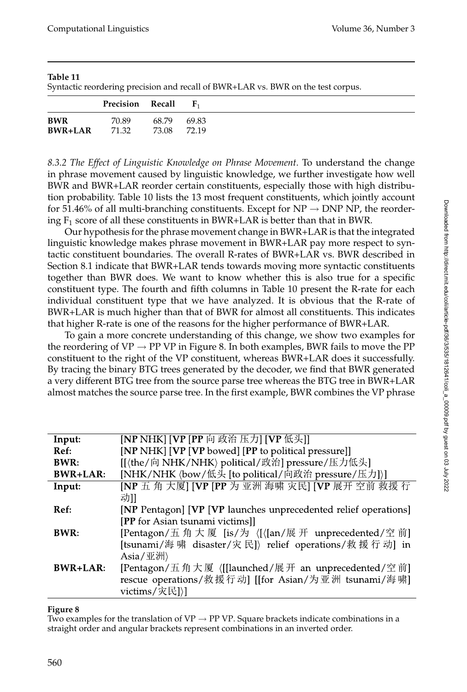| г<br>٠<br>г |  |
|-------------|--|
|-------------|--|

Syntactic reordering precision and recall of BWR+LAR vs. BWR on the test corpus.

|                | Precision Recall |       | F <sub>1</sub> |
|----------------|------------------|-------|----------------|
| <b>BWR</b>     | 70.89            | 68.79 | 69.83          |
| <b>BWR+LAR</b> | 71.32            | 73.08 | 72.19          |

*8.3.2 The Effect of Linguistic Knowledge on Phrase Movement.* To understand the change in phrase movement caused by linguistic knowledge, we further investigate how well BWR and BWR+LAR reorder certain constituents, especially those with high distribution probability. Table 10 lists the 13 most frequent constituents, which jointly account for 51.46% of all multi-branching constituents. Except for  $NP \rightarrow DNP NP$ , the reordering  $F_1$  score of all these constituents in BWR+LAR is better than that in BWR.

Our hypothesis for the phrase movement change in BWR+LAR is that the integrated linguistic knowledge makes phrase movement in BWR+LAR pay more respect to syntactic constituent boundaries. The overall R-rates of BWR+LAR vs. BWR described in Section 8.1 indicate that BWR+LAR tends towards moving more syntactic constituents together than BWR does. We want to know whether this is also true for a specific constituent type. The fourth and fifth columns in Table 10 present the R-rate for each individual constituent type that we have analyzed. It is obvious that the R-rate of BWR+LAR is much higher than that of BWR for almost all constituents. This indicates that higher R-rate is one of the reasons for the higher performance of BWR+LAR.

To gain a more concrete understanding of this change, we show two examples for the reordering of  $VP \rightarrow PP \ VP$  in Figure 8. In both examples, BWR fails to move the PP constituent to the right of the VP constituent, whereas BWR+LAR does it successfully. By tracing the binary BTG trees generated by the decoder, we find that BWR generated a very different BTG tree from the source parse tree whereas the BTG tree in BWR+LAR almost matches the source parse tree. In the first example, BWR combines the VP phrase

| Input:          | [NP NHK] [VP [PP 向 政治 压力] [VP 低头]]                                  |
|-----------------|---------------------------------------------------------------------|
| Ref:            | [NP NHK] [VP [VP bowed] [PP to political pressure]]                 |
| <b>BWR:</b>     | [[(the/向 NHK/NHK) political/政治] pressure/压力低头]                      |
| <b>BWR+LAR:</b> | [NHK/NHK<br><br>(bow/低头 [to political/向政治 pressure/压力])]            |
| Input:          | [NP 五 角 大厦] [VP [PP 为 亚洲 海啸 灾民] [VP 展开 空前 救援 行                      |
|                 | 动日                                                                  |
| Ref:            | [NP Pentagon] [VP [VP launches unprecedented relief operations]     |
|                 | [PP for Asian tsunami victims]]                                     |
| <b>BWR:</b>     | [Pentagon/五角大厦 [is/为 $\langle$ [ $\langle$ [an/展开 unprecedented/空前] |
|                 | [tsunami/海啸 disaster/灾民]) relief operations/救援行动] in                |
|                 | Asia/亚洲〉                                                            |
| <b>BWR+LAR:</b> | [Pentagon/五角大厦 ([[launched/展开 an unprecedented/空前]                  |
|                 | rescue operations/救援行动] [[for Asian/为亚洲 tsunami/海啸]                 |
|                 | victims/灾民])]                                                       |

#### **Figure 8**

Two examples for the translation of  $VP \rightarrow PP VP$ . Square brackets indicate combinations in a straight order and angular brackets represent combinations in an inverted order.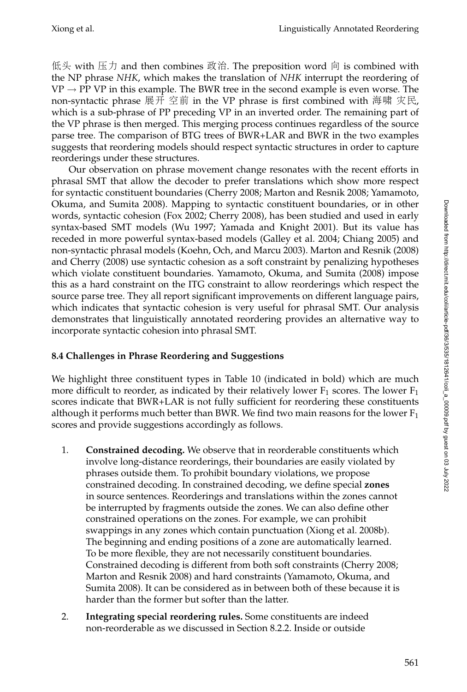低头 with 压力 and then combines 政治. The preposition word 向 is combined with the NP phrase *NHK*, which makes the translation of *NHK* interrupt the reordering of  $VP \rightarrow PP VP$  in this example. The BWR tree in the second example is even worse. The non-syntactic phrase 展开 空前 in the VP phrase is first combined with 海啸 灾民, which is a sub-phrase of PP preceding VP in an inverted order. The remaining part of the VP phrase is then merged. This merging process continues regardless of the source parse tree. The comparison of BTG trees of BWR+LAR and BWR in the two examples suggests that reordering models should respect syntactic structures in order to capture reorderings under these structures.

Our observation on phrase movement change resonates with the recent efforts in phrasal SMT that allow the decoder to prefer translations which show more respect for syntactic constituent boundaries (Cherry 2008; Marton and Resnik 2008; Yamamoto, Okuma, and Sumita 2008). Mapping to syntactic constituent boundaries, or in other words, syntactic cohesion (Fox 2002; Cherry 2008), has been studied and used in early syntax-based SMT models (Wu 1997; Yamada and Knight 2001). But its value has receded in more powerful syntax-based models (Galley et al. 2004; Chiang 2005) and non-syntactic phrasal models (Koehn, Och, and Marcu 2003). Marton and Resnik (2008) and Cherry (2008) use syntactic cohesion as a soft constraint by penalizing hypotheses which violate constituent boundaries. Yamamoto, Okuma, and Sumita (2008) impose this as a hard constraint on the ITG constraint to allow reorderings which respect the source parse tree. They all report significant improvements on different language pairs, which indicates that syntactic cohesion is very useful for phrasal SMT. Our analysis demonstrates that linguistically annotated reordering provides an alternative way to incorporate syntactic cohesion into phrasal SMT.

# **8.4 Challenges in Phrase Reordering and Suggestions**

We highlight three constituent types in Table 10 (indicated in bold) which are much more difficult to reorder, as indicated by their relatively lower  $F_1$  scores. The lower  $F_1$ scores indicate that BWR+LAR is not fully sufficient for reordering these constituents although it performs much better than BWR. We find two main reasons for the lower  $F_1$ scores and provide suggestions accordingly as follows.

- 1. **Constrained decoding.** We observe that in reorderable constituents which involve long-distance reorderings, their boundaries are easily violated by phrases outside them. To prohibit boundary violations, we propose constrained decoding. In constrained decoding, we define special **zones** in source sentences. Reorderings and translations within the zones cannot be interrupted by fragments outside the zones. We can also define other constrained operations on the zones. For example, we can prohibit swappings in any zones which contain punctuation (Xiong et al. 2008b). The beginning and ending positions of a zone are automatically learned. To be more flexible, they are not necessarily constituent boundaries. Constrained decoding is different from both soft constraints (Cherry 2008; Marton and Resnik 2008) and hard constraints (Yamamoto, Okuma, and Sumita 2008). It can be considered as in between both of these because it is harder than the former but softer than the latter.
- 2. **Integrating special reordering rules.** Some constituents are indeed non-reorderable as we discussed in Section 8.2.2. Inside or outside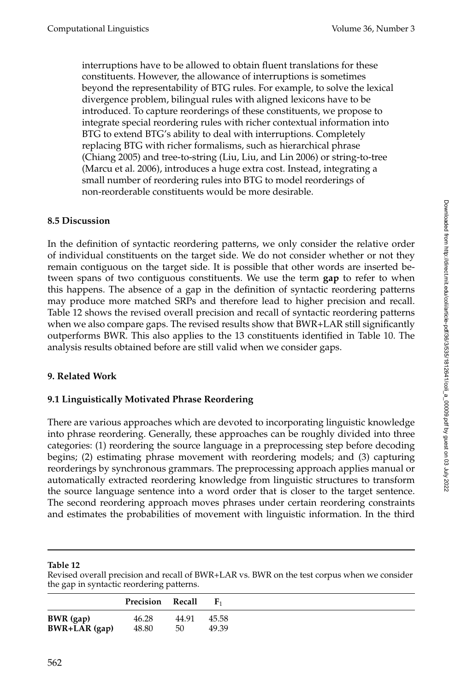interruptions have to be allowed to obtain fluent translations for these constituents. However, the allowance of interruptions is sometimes beyond the representability of BTG rules. For example, to solve the lexical divergence problem, bilingual rules with aligned lexicons have to be introduced. To capture reorderings of these constituents, we propose to integrate special reordering rules with richer contextual information into BTG to extend BTG's ability to deal with interruptions. Completely replacing BTG with richer formalisms, such as hierarchical phrase (Chiang 2005) and tree-to-string (Liu, Liu, and Lin 2006) or string-to-tree (Marcu et al. 2006), introduces a huge extra cost. Instead, integrating a small number of reordering rules into BTG to model reorderings of non-reorderable constituents would be more desirable.

# **8.5 Discussion**

In the definition of syntactic reordering patterns, we only consider the relative order of individual constituents on the target side. We do not consider whether or not they remain contiguous on the target side. It is possible that other words are inserted between spans of two contiguous constituents. We use the term **gap** to refer to when this happens. The absence of a gap in the definition of syntactic reordering patterns may produce more matched SRPs and therefore lead to higher precision and recall. Table 12 shows the revised overall precision and recall of syntactic reordering patterns when we also compare gaps. The revised results show that BWR+LAR still significantly outperforms BWR. This also applies to the 13 constituents identified in Table 10. The analysis results obtained before are still valid when we consider gaps.

# **9. Related Work**

# **9.1 Linguistically Motivated Phrase Reordering**

There are various approaches which are devoted to incorporating linguistic knowledge into phrase reordering. Generally, these approaches can be roughly divided into three categories: (1) reordering the source language in a preprocessing step before decoding begins; (2) estimating phrase movement with reordering models; and (3) capturing reorderings by synchronous grammars. The preprocessing approach applies manual or automatically extracted reordering knowledge from linguistic structures to transform the source language sentence into a word order that is closer to the target sentence. The second reordering approach moves phrases under certain reordering constraints and estimates the probabilities of movement with linguistic information. In the third

### **Table 12**

Revised overall precision and recall of BWR+LAR vs. BWR on the test corpus when we consider the gap in syntactic reordering patterns.

|                              | Precision Recall |             | F.             |  |  |
|------------------------------|------------------|-------------|----------------|--|--|
| BWR (gap)<br>$BWR+LAR$ (gap) | 46.28<br>48.80   | 44.91<br>50 | 45.58<br>49.39 |  |  |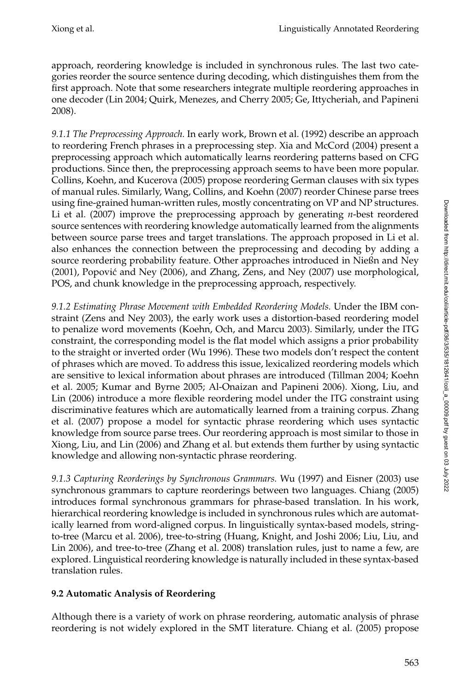approach, reordering knowledge is included in synchronous rules. The last two categories reorder the source sentence during decoding, which distinguishes them from the first approach. Note that some researchers integrate multiple reordering approaches in one decoder (Lin 2004; Quirk, Menezes, and Cherry 2005; Ge, Ittycheriah, and Papineni 2008).

*9.1.1 The Preprocessing Approach.* In early work, Brown et al. (1992) describe an approach to reordering French phrases in a preprocessing step. Xia and McCord (2004) present a preprocessing approach which automatically learns reordering patterns based on CFG productions. Since then, the preprocessing approach seems to have been more popular. Collins, Koehn, and Kucerova (2005) propose reordering German clauses with six types of manual rules. Similarly, Wang, Collins, and Koehn (2007) reorder Chinese parse trees using fine-grained human-written rules, mostly concentrating on VP and NP structures. Li et al. (2007) improve the preprocessing approach by generating *n*-best reordered source sentences with reordering knowledge automatically learned from the alignments between source parse trees and target translations. The approach proposed in Li et al. also enhances the connection between the preprocessing and decoding by adding a source reordering probability feature. Other approaches introduced in Nießn and Ney (2001), Popovic and Ney (2006), and Zhang, Zens, and Ney (2007) use morphological, ´ POS, and chunk knowledge in the preprocessing approach, respectively.

*9.1.2 Estimating Phrase Movement with Embedded Reordering Models.* Under the IBM constraint (Zens and Ney 2003), the early work uses a distortion-based reordering model to penalize word movements (Koehn, Och, and Marcu 2003). Similarly, under the ITG constraint, the corresponding model is the flat model which assigns a prior probability to the straight or inverted order (Wu 1996). These two models don't respect the content of phrases which are moved. To address this issue, lexicalized reordering models which are sensitive to lexical information about phrases are introduced (Tillman 2004; Koehn et al. 2005; Kumar and Byrne 2005; Al-Onaizan and Papineni 2006). Xiong, Liu, and Lin (2006) introduce a more flexible reordering model under the ITG constraint using discriminative features which are automatically learned from a training corpus. Zhang et al. (2007) propose a model for syntactic phrase reordering which uses syntactic knowledge from source parse trees. Our reordering approach is most similar to those in Xiong, Liu, and Lin (2006) and Zhang et al. but extends them further by using syntactic knowledge and allowing non-syntactic phrase reordering.

*9.1.3 Capturing Reorderings by Synchronous Grammars.* Wu (1997) and Eisner (2003) use synchronous grammars to capture reorderings between two languages. Chiang (2005) introduces formal synchronous grammars for phrase-based translation. In his work, hierarchical reordering knowledge is included in synchronous rules which are automatically learned from word-aligned corpus. In linguistically syntax-based models, stringto-tree (Marcu et al. 2006), tree-to-string (Huang, Knight, and Joshi 2006; Liu, Liu, and Lin 2006), and tree-to-tree (Zhang et al. 2008) translation rules, just to name a few, are explored. Linguistical reordering knowledge is naturally included in these syntax-based translation rules.

# **9.2 Automatic Analysis of Reordering**

Although there is a variety of work on phrase reordering, automatic analysis of phrase reordering is not widely explored in the SMT literature. Chiang et al. (2005) propose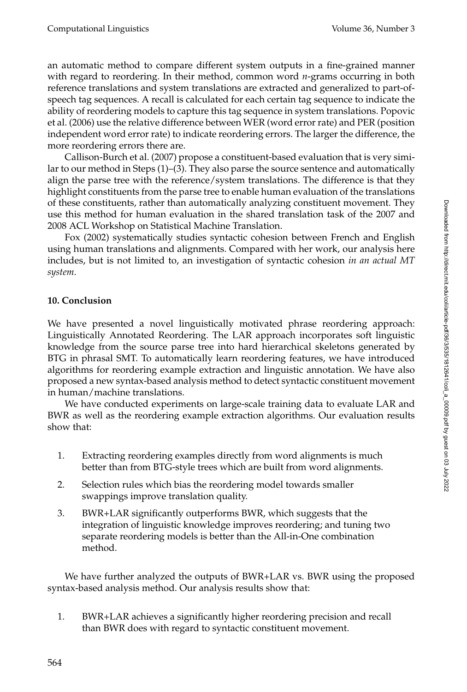an automatic method to compare different system outputs in a fine-grained manner with regard to reordering. In their method, common word *n*-grams occurring in both reference translations and system translations are extracted and generalized to part-ofspeech tag sequences. A recall is calculated for each certain tag sequence to indicate the ability of reordering models to capture this tag sequence in system translations. Popovic et al. (2006) use the relative difference between WER (word error rate) and PER (position independent word error rate) to indicate reordering errors. The larger the difference, the more reordering errors there are.

Callison-Burch et al. (2007) propose a constituent-based evaluation that is very similar to our method in Steps (1)–(3). They also parse the source sentence and automatically align the parse tree with the reference/system translations. The difference is that they highlight constituents from the parse tree to enable human evaluation of the translations of these constituents, rather than automatically analyzing constituent movement. They use this method for human evaluation in the shared translation task of the 2007 and 2008 ACL Workshop on Statistical Machine Translation.

Fox (2002) systematically studies syntactic cohesion between French and English using human translations and alignments. Compared with her work, our analysis here includes, but is not limited to, an investigation of syntactic cohesion *in an actual MT system*.

# **10. Conclusion**

We have presented a novel linguistically motivated phrase reordering approach: Linguistically Annotated Reordering. The LAR approach incorporates soft linguistic knowledge from the source parse tree into hard hierarchical skeletons generated by BTG in phrasal SMT. To automatically learn reordering features, we have introduced algorithms for reordering example extraction and linguistic annotation. We have also proposed a new syntax-based analysis method to detect syntactic constituent movement in human/machine translations.

We have conducted experiments on large-scale training data to evaluate LAR and BWR as well as the reordering example extraction algorithms. Our evaluation results show that:

- 1. Extracting reordering examples directly from word alignments is much better than from BTG-style trees which are built from word alignments.
- 2. Selection rules which bias the reordering model towards smaller swappings improve translation quality.
- 3. BWR+LAR significantly outperforms BWR, which suggests that the integration of linguistic knowledge improves reordering; and tuning two separate reordering models is better than the All-in-One combination method.

We have further analyzed the outputs of BWR+LAR vs. BWR using the proposed syntax-based analysis method. Our analysis results show that:

1. BWR+LAR achieves a significantly higher reordering precision and recall than BWR does with regard to syntactic constituent movement.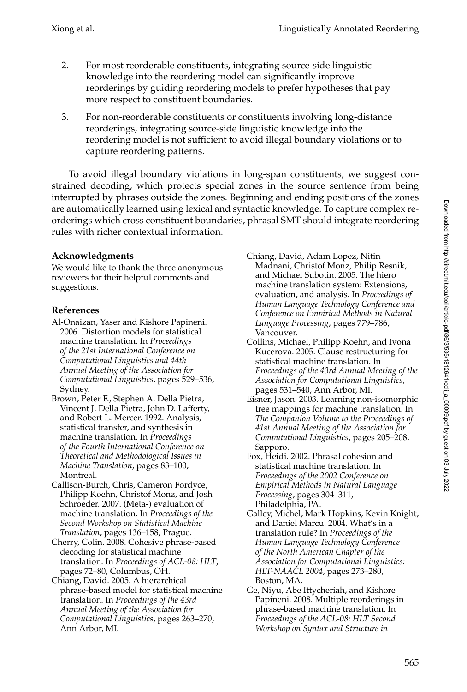- 2. For most reorderable constituents, integrating source-side linguistic knowledge into the reordering model can significantly improve reorderings by guiding reordering models to prefer hypotheses that pay more respect to constituent boundaries.
- 3. For non-reorderable constituents or constituents involving long-distance reorderings, integrating source-side linguistic knowledge into the reordering model is not sufficient to avoid illegal boundary violations or to capture reordering patterns.

To avoid illegal boundary violations in long-span constituents, we suggest constrained decoding, which protects special zones in the source sentence from being interrupted by phrases outside the zones. Beginning and ending positions of the zones are automatically learned using lexical and syntactic knowledge. To capture complex reorderings which cross constituent boundaries, phrasal SMT should integrate reordering rules with richer contextual information.

# **Acknowledgments**

We would like to thank the three anonymous reviewers for their helpful comments and suggestions.

# **References**

- Al-Onaizan, Yaser and Kishore Papineni. 2006. Distortion models for statistical machine translation. In *Proceedings of the 21st International Conference on Computational Linguistics and 44th Annual Meeting of the Association for Computational Linguistics*, pages 529–536, Sydney.
- Brown, Peter F., Stephen A. Della Pietra, Vincent J. Della Pietra, John D. Lafferty, and Robert L. Mercer. 1992. Analysis, statistical transfer, and synthesis in machine translation. In *Proceedings of the Fourth International Conference on Theoretical and Methodological Issues in Machine Translation*, pages 83–100, Montreal.
- Callison-Burch, Chris, Cameron Fordyce, Philipp Koehn, Christof Monz, and Josh Schroeder. 2007. (Meta-) evaluation of machine translation. In *Proceedings of the Second Workshop on Statistical Machine Translation*, pages 136–158, Prague.
- Cherry, Colin. 2008. Cohesive phrase-based decoding for statistical machine translation. In *Proceedings of ACL-08: HLT*, pages 72–80, Columbus, OH.
- Chiang, David. 2005. A hierarchical phrase-based model for statistical machine translation. In *Proceedings of the 43rd Annual Meeting of the Association for Computational Linguistics*, pages 263–270, Ann Arbor, MI.

Chiang, David, Adam Lopez, Nitin Madnani, Christof Monz, Philip Resnik, and Michael Subotin. 2005. The hiero machine translation system: Extensions, evaluation, and analysis. In *Proceedings of Human Language Technology Conference and Conference on Empirical Methods in Natural Language Processing*, pages 779–786, Vancouver.

- Collins, Michael, Philipp Koehn, and Ivona Kucerova. 2005. Clause restructuring for statistical machine translation. In *Proceedings of the 43rd Annual Meeting of the Association for Computational Linguistics*, pages 531–540, Ann Arbor, MI.
- Eisner, Jason. 2003. Learning non-isomorphic tree mappings for machine translation. In *The Companion Volume to the Proceedings of 41st Annual Meeting of the Association for Computational Linguistics*, pages 205–208, Sapporo.
- Fox, Heidi. 2002. Phrasal cohesion and statistical machine translation. In *Proceedings of the 2002 Conference on Empirical Methods in Natural Language Processing*, pages 304–311, Philadelphia, PA.
- Galley, Michel, Mark Hopkins, Kevin Knight, and Daniel Marcu. 2004. What's in a translation rule? In *Proceedings of the Human Language Technology Conference of the North American Chapter of the Association for Computational Linguistics: HLT-NAACL 2004*, pages 273–280, Boston, MA.
- Ge, Niyu, Abe Ittycheriah, and Kishore Papineni. 2008. Multiple reorderings in phrase-based machine translation. In *Proceedings of the ACL-08: HLT Second Workshop on Syntax and Structure in*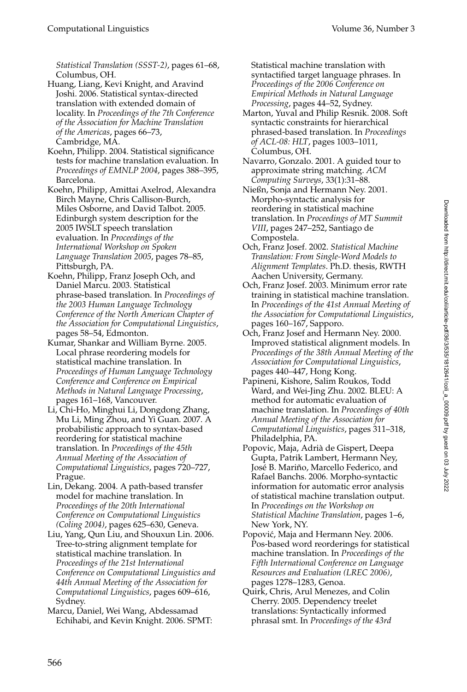*Statistical Translation (SSST-2)*, pages 61–68, Columbus, OH.

- Huang, Liang, Kevi Knight, and Aravind Joshi. 2006. Statistical syntax-directed translation with extended domain of locality. In *Proceedings of the 7th Conference of the Association for Machine Translation of the Americas*, pages 66–73, Cambridge, MA.
- Koehn, Philipp. 2004. Statistical significance tests for machine translation evaluation. In *Proceedings of EMNLP 2004*, pages 388–395, Barcelona.

Koehn, Philipp, Amittai Axelrod, Alexandra Birch Mayne, Chris Callison-Burch, Miles Osborne, and David Talbot. 2005. Edinburgh system description for the 2005 IWSLT speech translation evaluation. In *Proceedings of the International Workshop on Spoken Language Translation 2005*, pages 78–85, Pittsburgh, PA.

- Koehn, Philipp, Franz Joseph Och, and Daniel Marcu. 2003. Statistical phrase-based translation. In *Proceedings of the 2003 Human Language Technology Conference of the North American Chapter of the Association for Computational Linguistics*, pages 58–54, Edmonton.
- Kumar, Shankar and William Byrne. 2005. Local phrase reordering models for statistical machine translation. In *Proceedings of Human Language Technology Conference and Conference on Empirical Methods in Natural Language Processing*, pages 161–168, Vancouver.
- Li, Chi-Ho, Minghui Li, Dongdong Zhang, Mu Li, Ming Zhou, and Yi Guan. 2007. A probabilistic approach to syntax-based reordering for statistical machine translation. In *Proceedings of the 45th Annual Meeting of the Association of Computational Linguistics*, pages 720–727, Prague.
- Lin, Dekang. 2004. A path-based transfer model for machine translation. In *Proceedings of the 20th International Conference on Computational Linguistics (Coling 2004)*, pages 625–630, Geneva.
- Liu, Yang, Qun Liu, and Shouxun Lin. 2006. Tree-to-string alignment template for statistical machine translation. In *Proceedings of the 21st International Conference on Computational Linguistics and 44th Annual Meeting of the Association for Computational Linguistics*, pages 609–616, Sydney.

Marcu, Daniel, Wei Wang, Abdessamad Echihabi, and Kevin Knight. 2006. SPMT: Statistical machine translation with syntactified target language phrases. In *Proceedings of the 2006 Conference on Empirical Methods in Natural Language Processing*, pages 44–52, Sydney.

- Marton, Yuval and Philip Resnik. 2008. Soft syntactic constraints for hierarchical phrased-based translation. In *Proceedings of ACL-08: HLT*, pages 1003–1011, Columbus, OH.
- Navarro, Gonzalo. 2001. A guided tour to approximate string matching. *ACM Computing Surveys*, 33(1):31–88.
- Nießn, Sonja and Hermann Ney. 2001. Morpho-syntactic analysis for reordering in statistical machine translation. In *Proceedings of MT Summit VIII*, pages 247–252, Santiago de Compostela.
- Och, Franz Josef. 2002. *Statistical Machine Translation: From Single-Word Models to Alignment Templates*. Ph.D. thesis, RWTH Aachen University, Germany.
- Och, Franz Josef. 2003. Minimum error rate training in statistical machine translation. In *Proceedings of the 41st Annual Meeting of the Association for Computational Linguistics*, pages 160–167, Sapporo.
- Och, Franz Josef and Hermann Ney. 2000. Improved statistical alignment models. In *Proceedings of the 38th Annual Meeting of the Association for Computational Linguistics*, pages 440–447, Hong Kong.
- Papineni, Kishore, Salim Roukos, Todd Ward, and Wei-Jing Zhu. 2002. BLEU: A method for automatic evaluation of machine translation. In *Proceedings of 40th Annual Meeting of the Association for Computational Linguistics*, pages 311–318, Philadelphia, PA.
- Popovic, Maja, Adria de Gispert, Deepa ` Gupta, Patrik Lambert, Hermann Ney, José B. Mariño, Marcello Federico, and Rafael Banchs. 2006. Morpho-syntactic information for automatic error analysis of statistical machine translation output. In *Proceedings on the Workshop on Statistical Machine Translation*, pages 1–6, New York, NY.
- Popović, Maja and Hermann Ney. 2006. Pos-based word reorderings for statistical machine translation. In *Proceedings of the Fifth International Conference on Language Resources and Evaluation (LREC 2006)*, pages 1278–1283, Genoa.
- Quirk, Chris, Arul Menezes, and Colin Cherry. 2005. Dependency treelet translations: Syntactically informed phrasal smt. In *Proceedings of the 43rd*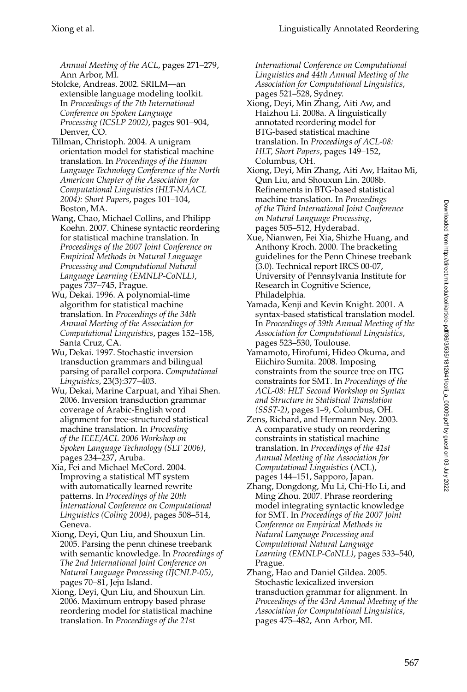*Annual Meeting of the ACL*, pages 271–279, Ann Arbor, MI.

- Stolcke, Andreas. 2002. SRILM—an extensible language modeling toolkit. In *Proceedings of the 7th International Conference on Spoken Language Processing (ICSLP 2002)*, pages 901–904, Denver, CO.
- Tillman, Christoph. 2004. A unigram orientation model for statistical machine translation. In *Proceedings of the Human Language Technology Conference of the North American Chapter of the Association for Computational Linguistics (HLT-NAACL 2004): Short Papers*, pages 101–104, Boston, MA.
- Wang, Chao, Michael Collins, and Philipp Koehn. 2007. Chinese syntactic reordering for statistical machine translation. In *Proceedings of the 2007 Joint Conference on Empirical Methods in Natural Language Processing and Computational Natural Language Learning (EMNLP-CoNLL)*, pages 737–745, Prague.
- Wu, Dekai. 1996. A polynomial-time algorithm for statistical machine translation. In *Proceedings of the 34th Annual Meeting of the Association for Computational Linguistics*, pages 152–158, Santa Cruz, CA.
- Wu, Dekai. 1997. Stochastic inversion transduction grammars and bilingual parsing of parallel corpora. *Computational Linguistics*, 23(3):377–403.
- Wu, Dekai, Marine Carpuat, and Yihai Shen. 2006. Inversion transduction grammar coverage of Arabic-English word alignment for tree-structured statistical machine translation. In *Proceeding of the IEEE/ACL 2006 Workshop on Spoken Language Technology (SLT 2006)*, pages 234–237, Aruba.
- Xia, Fei and Michael McCord. 2004. Improving a statistical MT system with automatically learned rewrite patterns. In *Proceedings of the 20th International Conference on Computational Linguistics (Coling 2004)*, pages 508–514, Geneva.
- Xiong, Deyi, Qun Liu, and Shouxun Lin. 2005. Parsing the penn chinese treebank with semantic knowledge. In *Proceedings of The 2nd International Joint Conference on Natural Language Processing (IJCNLP-05)*, pages 70–81, Jeju Island.
- Xiong, Deyi, Qun Liu, and Shouxun Lin. 2006. Maximum entropy based phrase reordering model for statistical machine translation. In *Proceedings of the 21st*

*International Conference on Computational Linguistics and 44th Annual Meeting of the Association for Computational Linguistics*, pages 521–528, Sydney.

- Xiong, Deyi, Min Zhang, Aiti Aw, and Haizhou Li. 2008a. A linguistically annotated reordering model for BTG-based statistical machine translation. In *Proceedings of ACL-08: HLT, Short Papers*, pages 149–152, Columbus, OH.
- Xiong, Deyi, Min Zhang, Aiti Aw, Haitao Mi, Qun Liu, and Shouxun Lin. 2008b. Refinements in BTG-based statistical machine translation. In *Proceedings of the Third International Joint Conference on Natural Language Processing*, pages 505–512, Hyderabad.
- Xue, Nianwen, Fei Xia, Shizhe Huang, and Anthony Kroch. 2000. The bracketing guidelines for the Penn Chinese treebank (3.0). Technical report IRCS 00-07, University of Pennsylvania Institute for Research in Cognitive Science, Philadelphia.
- Yamada, Kenji and Kevin Knight. 2001. A syntax-based statistical translation model. In *Proceedings of 39th Annual Meeting of the Association for Computational Linguistics*, pages 523–530, Toulouse.
- Yamamoto, Hirofumi, Hideo Okuma, and Eiichiro Sumita. 2008. Imposing constraints from the source tree on ITG constraints for SMT. In *Proceedings of the ACL-08: HLT Second Workshop on Syntax and Structure in Statistical Translation (SSST-2)*, pages 1–9, Columbus, OH.
- Zens, Richard, and Hermann Ney. 2003. A comparative study on reordering constraints in statistical machine translation. In *Proceedings of the 41st Annual Meeting of the Association for Computational Linguistics* (ACL), pages 144–151, Sapporo, Japan.
- Zhang, Dongdong, Mu Li, Chi-Ho Li, and Ming Zhou. 2007. Phrase reordering model integrating syntactic knowledge for SMT. In *Proceedings of the 2007 Joint Conference on Empirical Methods in Natural Language Processing and Computational Natural Language Learning (EMNLP-CoNLL)*, pages 533–540, Prague.
- Zhang, Hao and Daniel Gildea. 2005. Stochastic lexicalized inversion transduction grammar for alignment. In *Proceedings of the 43rd Annual Meeting of the Association for Computational Linguistics*, pages 475–482, Ann Arbor, MI.